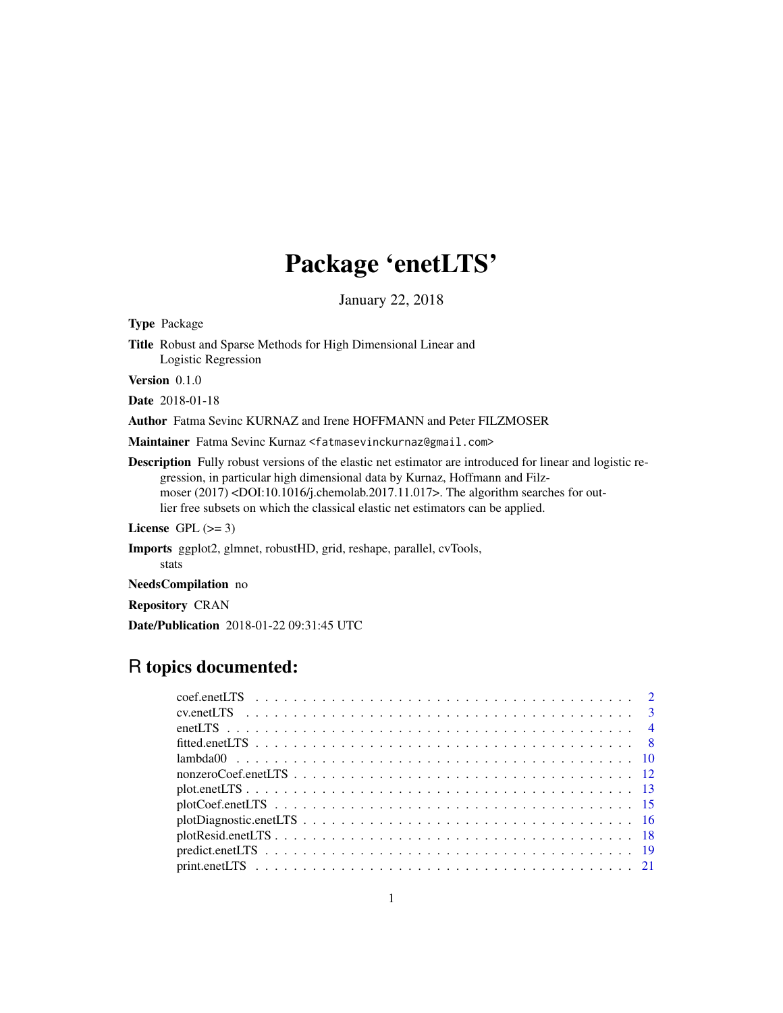## Package 'enetLTS'

January 22, 2018

<span id="page-0-0"></span>Type Package Title Robust and Sparse Methods for High Dimensional Linear and Logistic Regression Version 0.1.0 Date 2018-01-18 Author Fatma Sevinc KURNAZ and Irene HOFFMANN and Peter FILZMOSER Maintainer Fatma Sevinc Kurnaz <fatmasevinckurnaz@gmail.com>

Description Fully robust versions of the elastic net estimator are introduced for linear and logistic regression, in particular high dimensional data by Kurnaz, Hoffmann and Filzmoser (2017) <DOI:10.1016/j.chemolab.2017.11.017>. The algorithm searches for outlier free subsets on which the classical elastic net estimators can be applied.

License GPL  $(>= 3)$ 

Imports ggplot2, glmnet, robustHD, grid, reshape, parallel, cvTools, stats

NeedsCompilation no

Repository CRAN

Date/Publication 2018-01-22 09:31:45 UTC

## R topics documented: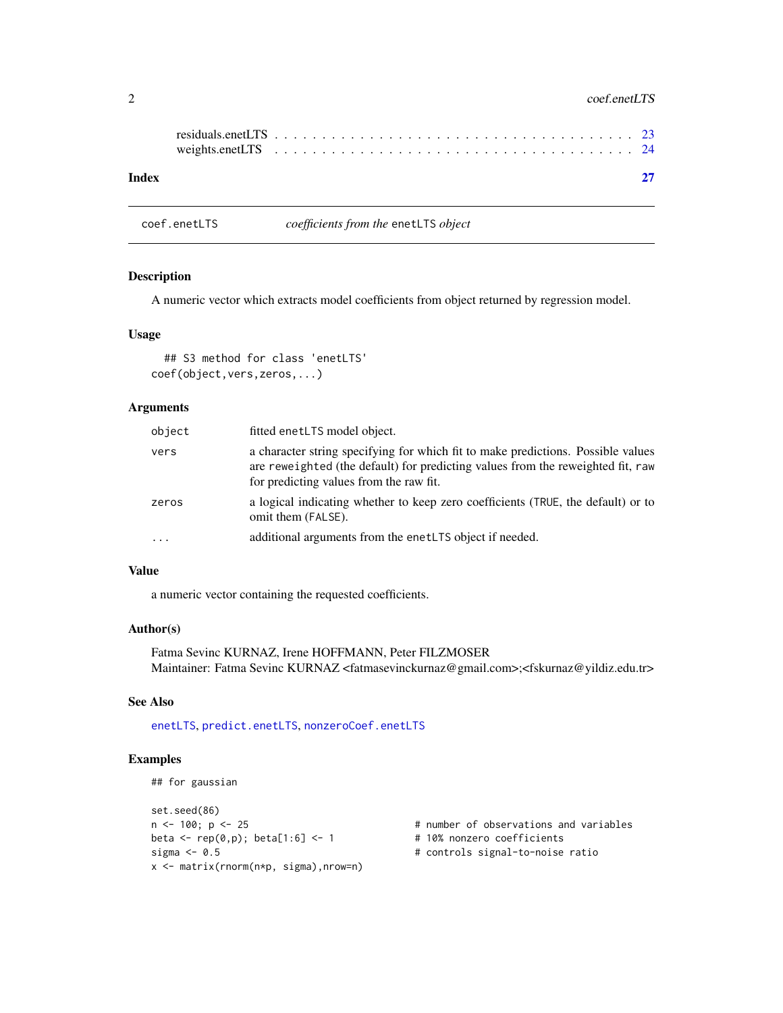#### <span id="page-1-0"></span>2 coef.enetLTS

| Index |  |  |  |  |  |  |  |  |  |  |  |  |  |  |  |  |  |
|-------|--|--|--|--|--|--|--|--|--|--|--|--|--|--|--|--|--|

<span id="page-1-1"></span>coef.enetLTS *coefficients from the* enetLTS *object*

## Description

A numeric vector which extracts model coefficients from object returned by regression model.

#### Usage

## S3 method for class 'enetLTS' coef(object,vers,zeros,...)

## Arguments

| object    | fitted enetLTS model object.                                                                                                                                                                                   |
|-----------|----------------------------------------------------------------------------------------------------------------------------------------------------------------------------------------------------------------|
| vers      | a character string specifying for which fit to make predictions. Possible values<br>are reweighted (the default) for predicting values from the reweighted fit, raw<br>for predicting values from the raw fit. |
| zeros     | a logical indicating whether to keep zero coefficients (TRUE, the default) or to<br>omit them (FALSE).                                                                                                         |
| $\ddotsc$ | additional arguments from the enet LTS object if needed.                                                                                                                                                       |

## Value

a numeric vector containing the requested coefficients.

## Author(s)

Fatma Sevinc KURNAZ, Irene HOFFMANN, Peter FILZMOSER Maintainer: Fatma Sevinc KURNAZ <fatmasevinckurnaz@gmail.com>;<fskurnaz@yildiz.edu.tr>

## See Also

[enetLTS](#page-3-1), [predict.enetLTS](#page-18-1), [nonzeroCoef.enetLTS](#page-11-1)

```
## for gaussian
```

```
set.seed(86)
n <- 100; p <- 25 \pm 100 \pm 100; p <- 25 \pm 10% nonzero coefficients
beta \leq rep(0,p); beta[1:6] \leq 1
sigma <- 0.5 \qquad # controls signal-to-noise ratio
x <- matrix(rnorm(n*p, sigma),nrow=n)
```
- 
-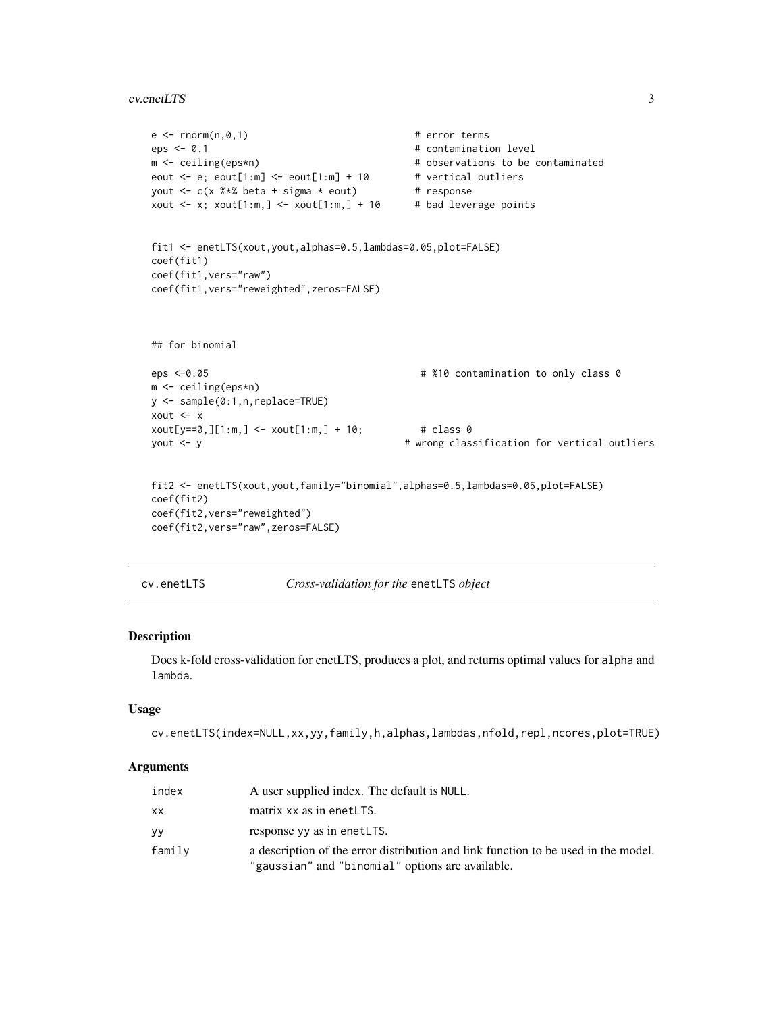#### <span id="page-2-0"></span>cv.enetLTS 3

```
e \leq -rnorm(n, \emptyset, 1) # error terms
eps < -0.1 # contamination level
m <- ceiling(eps*n) # observations to be contaminated
eout \leq e; eout[1:m] \leq eout[1:m] + 10 # vertical outliers
yout \leq c(x %*% beta + sigma * eout) # response
xout \leq x; xout[1:m,] \leq xout[1:m,] + 10 # bad leverage points
fit1 <- enetLTS(xout,yout,alphas=0.5,lambdas=0.05,plot=FALSE)
coef(fit1)
coef(fit1,vers="raw")
coef(fit1,vers="reweighted",zeros=FALSE)
## for binomial
eps <-0.05 # %10 contamination to only class 0
m <- ceiling(eps*n)
y <- sample(0:1,n,replace=TRUE)
xout <- x
xout[y==0,][1:m,] <- xout[1:m,] + 10; # class 0
yout <- y # wrong classification for vertical outliers
fit2 <- enetLTS(xout,yout,family="binomial",alphas=0.5,lambdas=0.05,plot=FALSE)
coef(fit2)
coef(fit2,vers="reweighted")
coef(fit2,vers="raw",zeros=FALSE)
```
cv.enetLTS *Cross-validation for the* enetLTS *object*

#### Description

Does k-fold cross-validation for enetLTS, produces a plot, and returns optimal values for alpha and lambda.

## Usage

```
cv.enetLTS(index=NULL,xx,yy,family,h,alphas,lambdas,nfold,repl,ncores,plot=TRUE)
```
#### Arguments

| index     | A user supplied index. The default is NULL.                                                                                            |
|-----------|----------------------------------------------------------------------------------------------------------------------------------------|
| <b>XX</b> | matrix xx as in enetLTS.                                                                                                               |
| yу        | response yy as in enetLTS.                                                                                                             |
| family    | a description of the error distribution and link function to be used in the model.<br>"gaussian" and "binomial" options are available. |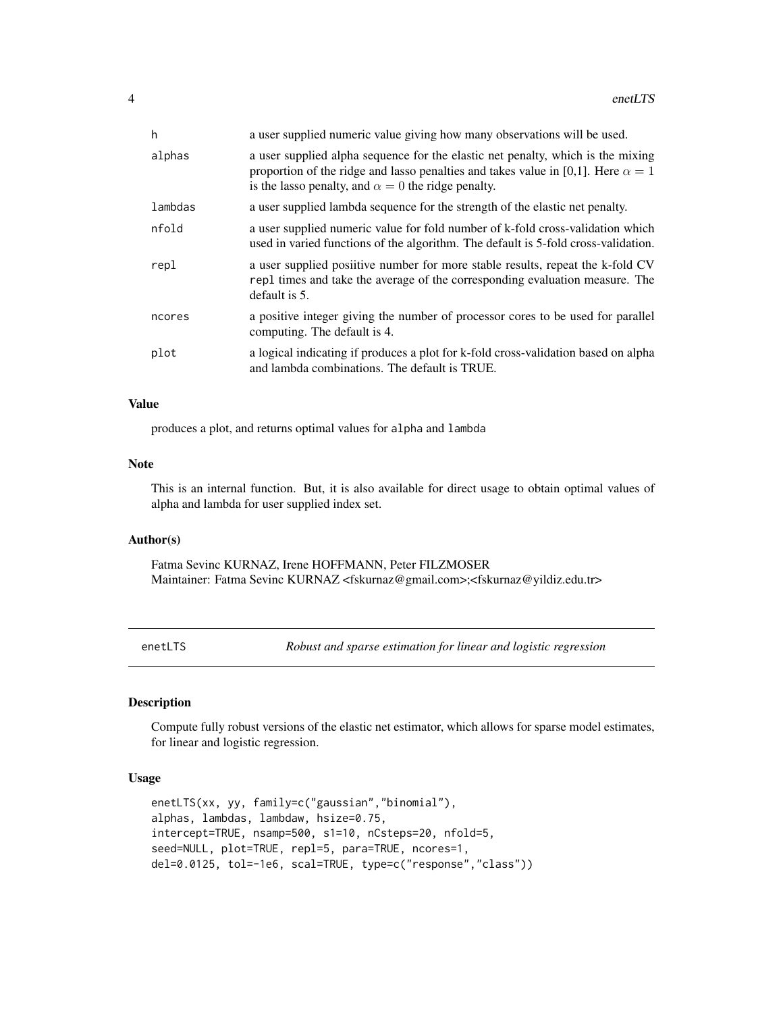<span id="page-3-0"></span>

| h       | a user supplied numeric value giving how many observations will be used.                                                                                                                                                                |
|---------|-----------------------------------------------------------------------------------------------------------------------------------------------------------------------------------------------------------------------------------------|
| alphas  | a user supplied alpha sequence for the elastic net penalty, which is the mixing<br>proportion of the ridge and lasso penalties and takes value in [0,1]. Here $\alpha = 1$<br>is the lasso penalty, and $\alpha = 0$ the ridge penalty. |
| lambdas | a user supplied lambda sequence for the strength of the elastic net penalty.                                                                                                                                                            |
| nfold   | a user supplied numeric value for fold number of k-fold cross-validation which<br>used in varied functions of the algorithm. The default is 5-fold cross-validation.                                                                    |
| repl    | a user supplied positive number for more stable results, repeat the k-fold CV<br>repl times and take the average of the corresponding evaluation measure. The<br>default is 5.                                                          |
| ncores  | a positive integer giving the number of processor cores to be used for parallel<br>computing. The default is 4.                                                                                                                         |
| plot    | a logical indicating if produces a plot for k-fold cross-validation based on alpha<br>and lambda combinations. The default is TRUE.                                                                                                     |

#### Value

produces a plot, and returns optimal values for alpha and lambda

#### Note

This is an internal function. But, it is also available for direct usage to obtain optimal values of alpha and lambda for user supplied index set.

## Author(s)

Fatma Sevinc KURNAZ, Irene HOFFMANN, Peter FILZMOSER Maintainer: Fatma Sevinc KURNAZ <fskurnaz@gmail.com>;<fskurnaz@yildiz.edu.tr>

<span id="page-3-1"></span>enetLTS *Robust and sparse estimation for linear and logistic regression*

#### Description

Compute fully robust versions of the elastic net estimator, which allows for sparse model estimates, for linear and logistic regression.

#### Usage

```
enetLTS(xx, yy, family=c("gaussian","binomial"),
alphas, lambdas, lambdaw, hsize=0.75,
intercept=TRUE, nsamp=500, s1=10, nCsteps=20, nfold=5,
seed=NULL, plot=TRUE, repl=5, para=TRUE, ncores=1,
del=0.0125, tol=-1e6, scal=TRUE, type=c("response","class"))
```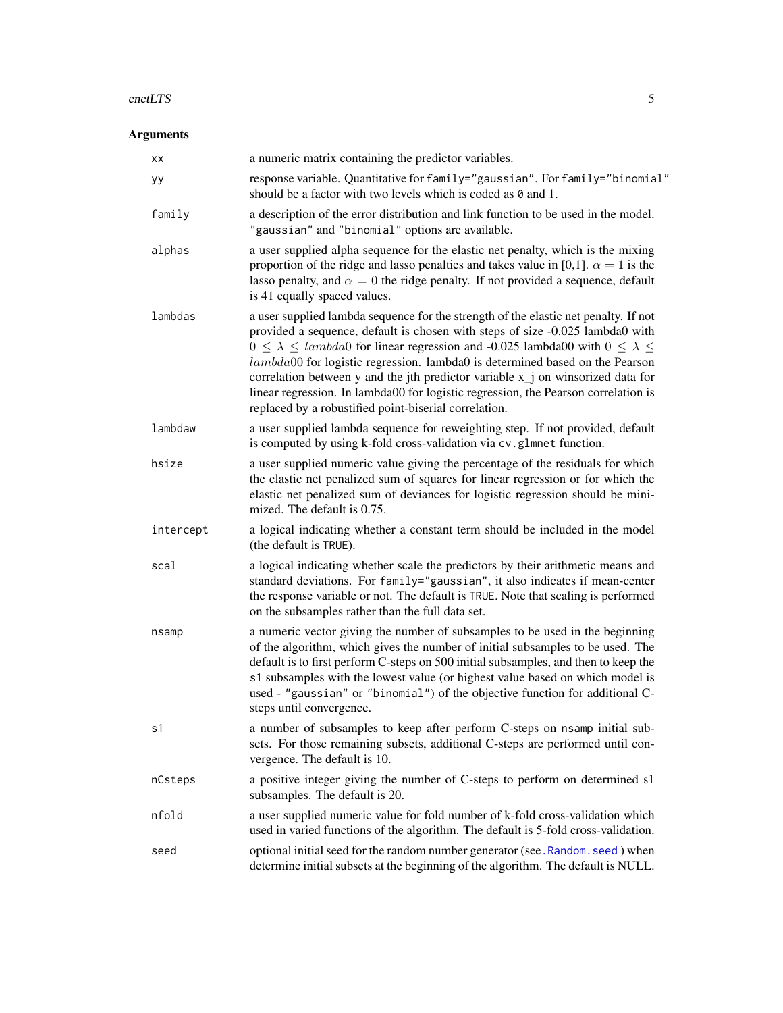#### <span id="page-4-0"></span>enetLTS 5

## Arguments

| xх        | a numeric matrix containing the predictor variables.                                                                                                                                                                                                                                                                                                                                                                                                                                                                                                                                                      |
|-----------|-----------------------------------------------------------------------------------------------------------------------------------------------------------------------------------------------------------------------------------------------------------------------------------------------------------------------------------------------------------------------------------------------------------------------------------------------------------------------------------------------------------------------------------------------------------------------------------------------------------|
| уу        | response variable. Quantitative for family="gaussian". For family="binomial"<br>should be a factor with two levels which is coded as $\theta$ and 1.                                                                                                                                                                                                                                                                                                                                                                                                                                                      |
| family    | a description of the error distribution and link function to be used in the model.<br>"gaussian" and "binomial" options are available.                                                                                                                                                                                                                                                                                                                                                                                                                                                                    |
| alphas    | a user supplied alpha sequence for the elastic net penalty, which is the mixing<br>proportion of the ridge and lasso penalties and takes value in [0,1]. $\alpha = 1$ is the<br>lasso penalty, and $\alpha = 0$ the ridge penalty. If not provided a sequence, default<br>is 41 equally spaced values.                                                                                                                                                                                                                                                                                                    |
| lambdas   | a user supplied lambda sequence for the strength of the elastic net penalty. If not<br>provided a sequence, default is chosen with steps of size -0.025 lambda0 with<br>$0 \leq \lambda \leq$ lambda0 for linear regression and -0.025 lambda00 with $0 \leq \lambda \leq$<br>$lambda00$ for logistic regression. lambda0 is determined based on the Pearson<br>correlation between y and the jth predictor variable x <sub>j</sub> on winsorized data for<br>linear regression. In lambda00 for logistic regression, the Pearson correlation is<br>replaced by a robustified point-biserial correlation. |
| lambdaw   | a user supplied lambda sequence for reweighting step. If not provided, default<br>is computed by using k-fold cross-validation via cv.glmnet function.                                                                                                                                                                                                                                                                                                                                                                                                                                                    |
| hsize     | a user supplied numeric value giving the percentage of the residuals for which<br>the elastic net penalized sum of squares for linear regression or for which the<br>elastic net penalized sum of deviances for logistic regression should be mini-<br>mized. The default is 0.75.                                                                                                                                                                                                                                                                                                                        |
| intercept | a logical indicating whether a constant term should be included in the model<br>(the default is TRUE).                                                                                                                                                                                                                                                                                                                                                                                                                                                                                                    |
| scal      | a logical indicating whether scale the predictors by their arithmetic means and<br>standard deviations. For family="gaussian", it also indicates if mean-center<br>the response variable or not. The default is TRUE. Note that scaling is performed<br>on the subsamples rather than the full data set.                                                                                                                                                                                                                                                                                                  |
| nsamp     | a numeric vector giving the number of subsamples to be used in the beginning<br>of the algorithm, which gives the number of initial subsamples to be used. The<br>default is to first perform C-steps on 500 initial subsamples, and then to keep the<br>s1 subsamples with the lowest value (or highest value based on which model is<br>used - "gaussian" or "binomial") of the objective function for additional C-<br>steps until convergence.                                                                                                                                                        |
| s1        | a number of subsamples to keep after perform C-steps on nsamp initial sub-<br>sets. For those remaining subsets, additional C-steps are performed until con-<br>vergence. The default is 10.                                                                                                                                                                                                                                                                                                                                                                                                              |
| nCsteps   | a positive integer giving the number of C-steps to perform on determined s1<br>subsamples. The default is 20.                                                                                                                                                                                                                                                                                                                                                                                                                                                                                             |
| nfold     | a user supplied numeric value for fold number of k-fold cross-validation which<br>used in varied functions of the algorithm. The default is 5-fold cross-validation.                                                                                                                                                                                                                                                                                                                                                                                                                                      |
| seed      | optional initial seed for the random number generator (see. Random. seed) when<br>determine initial subsets at the beginning of the algorithm. The default is NULL.                                                                                                                                                                                                                                                                                                                                                                                                                                       |
|           |                                                                                                                                                                                                                                                                                                                                                                                                                                                                                                                                                                                                           |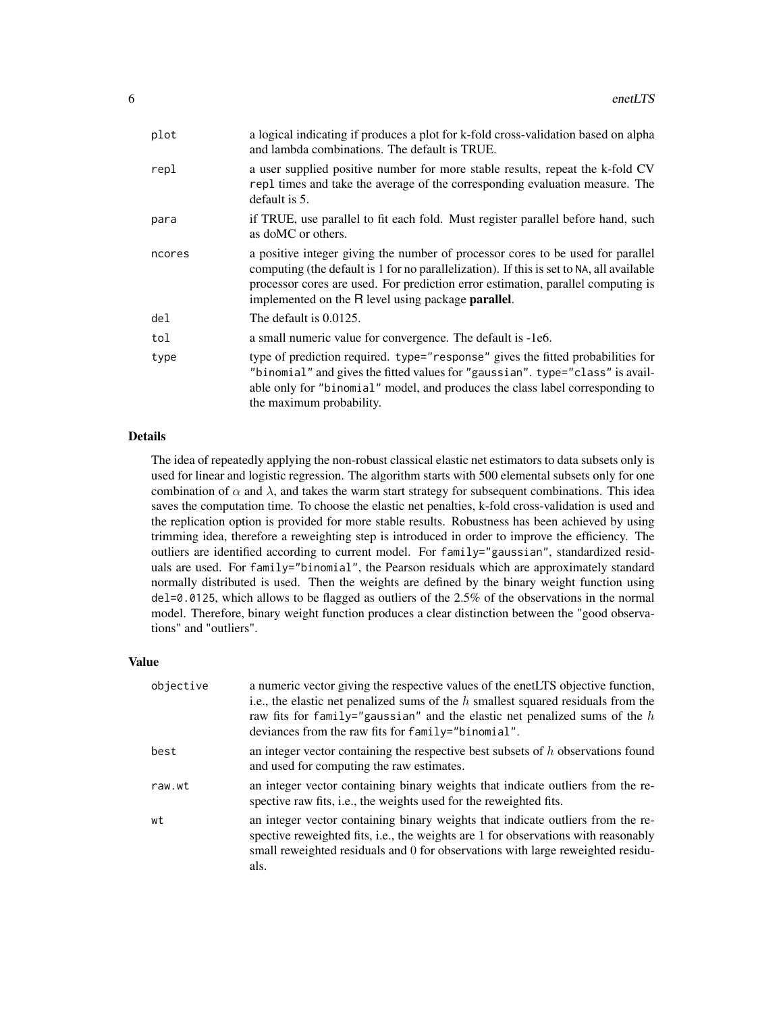| plot   | a logical indicating if produces a plot for k-fold cross-validation based on alpha<br>and lambda combinations. The default is TRUE.                                                                                                                                                                                           |
|--------|-------------------------------------------------------------------------------------------------------------------------------------------------------------------------------------------------------------------------------------------------------------------------------------------------------------------------------|
| repl   | a user supplied positive number for more stable results, repeat the k-fold CV<br>repl times and take the average of the corresponding evaluation measure. The<br>default is 5.                                                                                                                                                |
| para   | if TRUE, use parallel to fit each fold. Must register parallel before hand, such<br>as doMC or others.                                                                                                                                                                                                                        |
| ncores | a positive integer giving the number of processor cores to be used for parallel<br>computing (the default is 1 for no parallelization). If this is set to NA, all available<br>processor cores are used. For prediction error estimation, parallel computing is<br>implemented on the R level using package <b>parallel</b> . |
| del    | The default is 0.0125.                                                                                                                                                                                                                                                                                                        |
| tol    | a small numeric value for convergence. The default is -1e6.                                                                                                                                                                                                                                                                   |
| type   | type of prediction required. type="response" gives the fitted probabilities for<br>"binomial" and gives the fitted values for "gaussian". type="class" is avail-<br>able only for "binomial" model, and produces the class label corresponding to<br>the maximum probability.                                                 |

## Details

The idea of repeatedly applying the non-robust classical elastic net estimators to data subsets only is used for linear and logistic regression. The algorithm starts with 500 elemental subsets only for one combination of  $\alpha$  and  $\lambda$ , and takes the warm start strategy for subsequent combinations. This idea saves the computation time. To choose the elastic net penalties, k-fold cross-validation is used and the replication option is provided for more stable results. Robustness has been achieved by using trimming idea, therefore a reweighting step is introduced in order to improve the efficiency. The outliers are identified according to current model. For family="gaussian", standardized residuals are used. For family="binomial", the Pearson residuals which are approximately standard normally distributed is used. Then the weights are defined by the binary weight function using del=0.0125, which allows to be flagged as outliers of the 2.5% of the observations in the normal model. Therefore, binary weight function produces a clear distinction between the "good observations" and "outliers".

#### Value

| objective | a numeric vector giving the respective values of the enetLTS objective function,<br>i.e., the elastic net penalized sums of the $h$ smallest squared residuals from the<br>raw fits for family="gaussian" and the elastic net penalized sums of the $h$<br>deviances from the raw fits for family="binomial". |
|-----------|---------------------------------------------------------------------------------------------------------------------------------------------------------------------------------------------------------------------------------------------------------------------------------------------------------------|
| best      | an integer vector containing the respective best subsets of $h$ observations found<br>and used for computing the raw estimates.                                                                                                                                                                               |
| raw.wt    | an integer vector containing binary weights that indicate outliers from the re-<br>spective raw fits, <i>i.e.</i> , the weights used for the reweighted fits.                                                                                                                                                 |
| wt        | an integer vector containing binary weights that indicate outliers from the re-<br>spective reweighted fits, i.e., the weights are 1 for observations with reasonably<br>small reweighted residuals and 0 for observations with large reweighted residu-<br>als.                                              |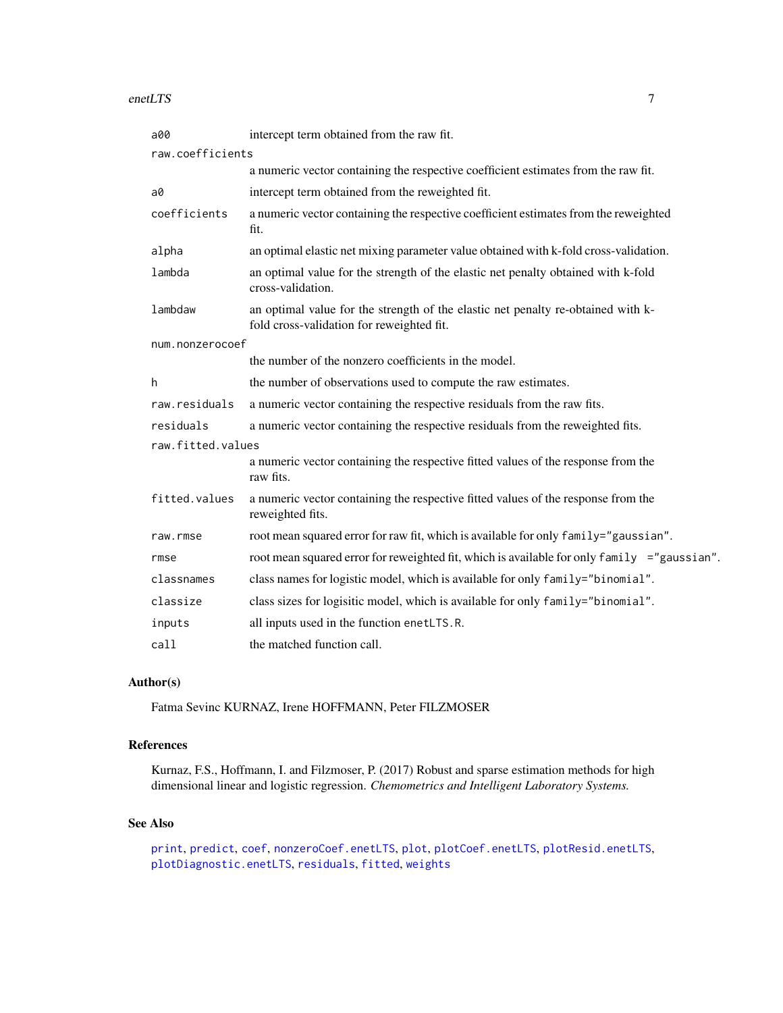#### <span id="page-6-0"></span>enetLTS 7

| a00               | intercept term obtained from the raw fit.                                                                                     |
|-------------------|-------------------------------------------------------------------------------------------------------------------------------|
| raw.coefficients  |                                                                                                                               |
|                   | a numeric vector containing the respective coefficient estimates from the raw fit.                                            |
| a0                | intercept term obtained from the reweighted fit.                                                                              |
| coefficients      | a numeric vector containing the respective coefficient estimates from the reweighted<br>fit.                                  |
| alpha             | an optimal elastic net mixing parameter value obtained with k-fold cross-validation.                                          |
| lambda            | an optimal value for the strength of the elastic net penalty obtained with k-fold<br>cross-validation.                        |
| lambdaw           | an optimal value for the strength of the elastic net penalty re-obtained with k-<br>fold cross-validation for reweighted fit. |
| num.nonzerocoef   |                                                                                                                               |
|                   | the number of the nonzero coefficients in the model.                                                                          |
| h                 | the number of observations used to compute the raw estimates.                                                                 |
| raw.residuals     | a numeric vector containing the respective residuals from the raw fits.                                                       |
| residuals         | a numeric vector containing the respective residuals from the reweighted fits.                                                |
| raw.fitted.values |                                                                                                                               |
|                   | a numeric vector containing the respective fitted values of the response from the<br>raw fits.                                |
| fitted.values     | a numeric vector containing the respective fitted values of the response from the<br>reweighted fits.                         |
| raw.rmse          | root mean squared error for raw fit, which is available for only family="gaussian".                                           |
| rmse              | root mean squared error for reweighted fit, which is available for only family ="gaussian".                                   |
| classnames        | class names for logistic model, which is available for only family="binomial".                                                |
| classize          | class sizes for logisitic model, which is available for only family="binomial".                                               |
| inputs            | all inputs used in the function enetLTS.R.                                                                                    |
| call              | the matched function call.                                                                                                    |

## Author(s)

Fatma Sevinc KURNAZ, Irene HOFFMANN, Peter FILZMOSER

#### References

Kurnaz, F.S., Hoffmann, I. and Filzmoser, P. (2017) Robust and sparse estimation methods for high dimensional linear and logistic regression. *Chemometrics and Intelligent Laboratory Systems.*

## See Also

```
print, predict, coef, nonzeroCoef.enetLTS, plot, plotCoef.enetLTS, plotResid.enetLTS,
plotDiagnostic.enetLTS, residuals, fitted, weights
```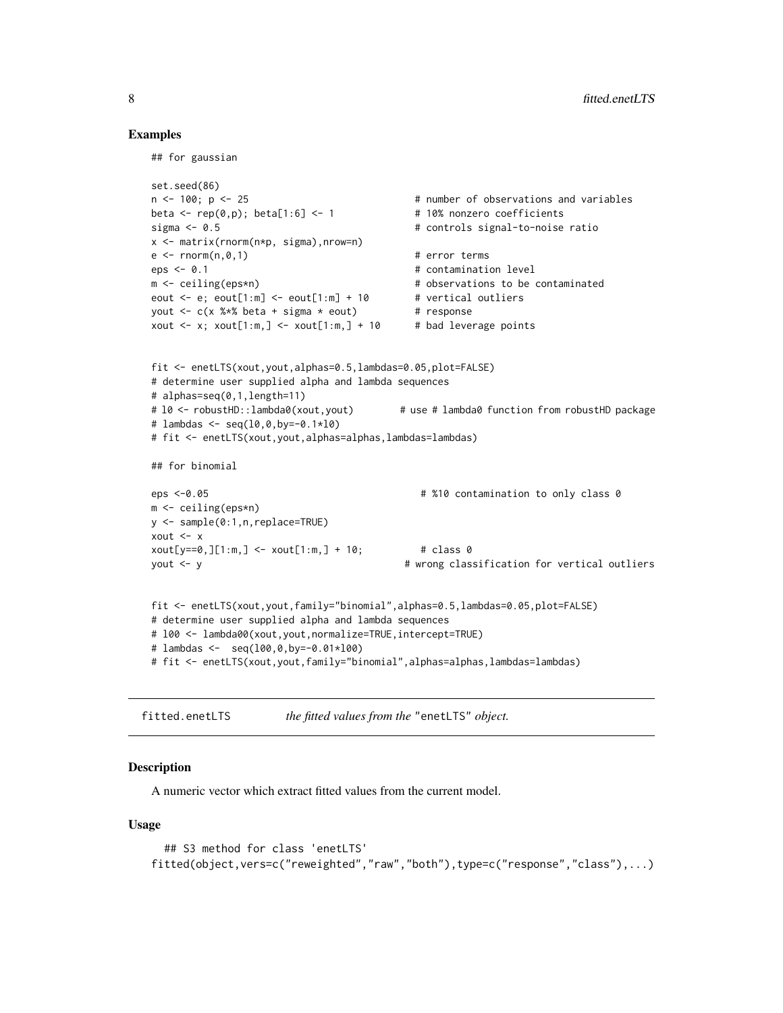#### Examples

## for gaussian

```
set.seed(86)
n <- 100; p <- 25 # number of observations and variables
beta \leq rep(0,p); beta[1:6] \leq 1 \neq 10% nonzero coefficients
sigma <- 0.5 # controls signal-to-noise ratio
x <- matrix(rnorm(n*p, sigma),nrow=n)
e \leq -rnorm(n, \emptyset, 1) # error terms
eps <- 0.1 				 \qquad + contamination level
m <- ceiling(eps*n) + observations to be contaminated
eout \leq e; eout[1:m] \leq eout[1:m] + 10 # vertical outliers
yout <-c(x \times x) beta + sigma * eout) # response
xout \leq x; xout[1:m,] \leq -x xout[1:m,] + 10 # bad leverage points
fit <- enetLTS(xout,yout,alphas=0.5,lambdas=0.05,plot=FALSE)
# determine user supplied alpha and lambda sequences
# alphas=seq(0,1,length=11)
# 10 <- robustHD::lambda0(xout,yout) # use # lambda0 function from robustHD package
# lambdas <- seq(l0,0,by=-0.1*l0)
# fit <- enetLTS(xout,yout,alphas=alphas,lambdas=lambdas)
## for binomial
eps <-0.05 # %10 contamination to only class 0
m <- ceiling(eps*n)
y <- sample(0:1,n,replace=TRUE)
xout <- x
xout[y == 0, ][1:m, ] <- xout[1:m, ] + 10; # class 0
yout <- y # wrong classification for vertical outliers
fit <- enetLTS(xout,yout,family="binomial",alphas=0.5,lambdas=0.05,plot=FALSE)
# determine user supplied alpha and lambda sequences
# l00 <- lambda00(xout,yout,normalize=TRUE,intercept=TRUE)
# lambdas <- seq(l00,0,by=-0.01*l00)
# fit <- enetLTS(xout,yout,family="binomial",alphas=alphas,lambdas=lambdas)
```

```
fitted.enetLTS the fitted values from the "enetLTS" object.
```
## **Description**

A numeric vector which extract fitted values from the current model.

## Usage

```
## S3 method for class 'enetLTS'
fitted(object,vers=c("reweighted","raw","both"),type=c("response","class"),...)
```
<span id="page-7-0"></span>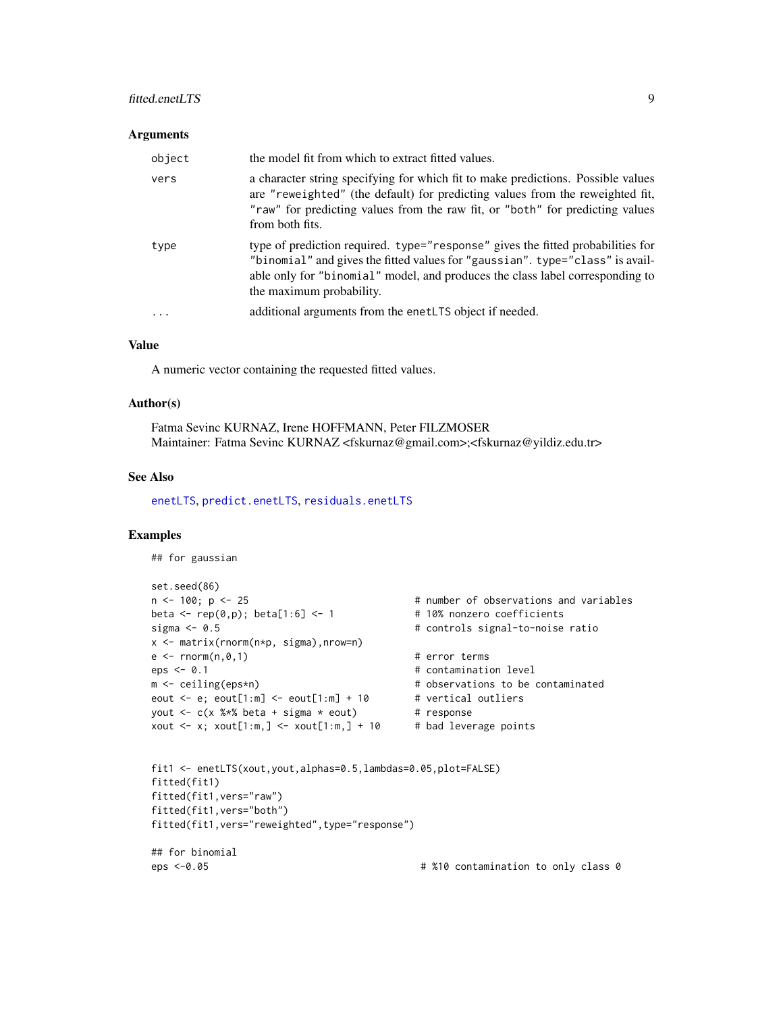## <span id="page-8-0"></span>fitted.enetLTS 9

#### **Arguments**

| object | the model fit from which to extract fitted values.                                                                                                                                                                                                                            |
|--------|-------------------------------------------------------------------------------------------------------------------------------------------------------------------------------------------------------------------------------------------------------------------------------|
| vers   | a character string specifying for which fit to make predictions. Possible values<br>are "reweighted" (the default) for predicting values from the reweighted fit,<br>"raw" for predicting values from the raw fit, or "both" for predicting values<br>from both fits.         |
| type   | type of prediction required. type="response" gives the fitted probabilities for<br>"binomial" and gives the fitted values for "gaussian". type="class" is avail-<br>able only for "binomial" model, and produces the class label corresponding to<br>the maximum probability. |
| .      | additional arguments from the enetLTS object if needed.                                                                                                                                                                                                                       |

## Value

A numeric vector containing the requested fitted values.

#### Author(s)

Fatma Sevinc KURNAZ, Irene HOFFMANN, Peter FILZMOSER Maintainer: Fatma Sevinc KURNAZ <fskurnaz@gmail.com>;<fskurnaz@yildiz.edu.tr>

#### See Also

[enetLTS](#page-3-1), [predict.enetLTS](#page-18-1), [residuals.enetLTS](#page-22-1)

```
## for gaussian
set.seed(86)<br>n <- 100; p <- 25
                                       # number of observations and variables
beta \leq rep(0,p); beta[1:6] \leq 1 \neq 10% nonzero coefficients
sigma <- 0.5 # controls signal-to-noise ratio
x <- matrix(rnorm(n*p, sigma),nrow=n)
e \leq -rnorm(n, \emptyset, 1) # error terms
eps < -0.1 # contamination level
m <- ceiling(eps*n) + observations to be contaminated
eout \leq e; eout[1:m] \leq eout[1:m] + 10 # vertical outliers
yout \leq c(x %*% beta + sigma * eout) # response
xout \leq x; xout[1:m,] \leq xout[1:m,] + 10 # bad leverage points
fit1 <- enetLTS(xout,yout,alphas=0.5,lambdas=0.05,plot=FALSE)
fitted(fit1)
fitted(fit1,vers="raw")
fitted(fit1,vers="both")
fitted(fit1,vers="reweighted",type="response")
## for binomial
eps <-0.05 # %10 contamination to only class 0
```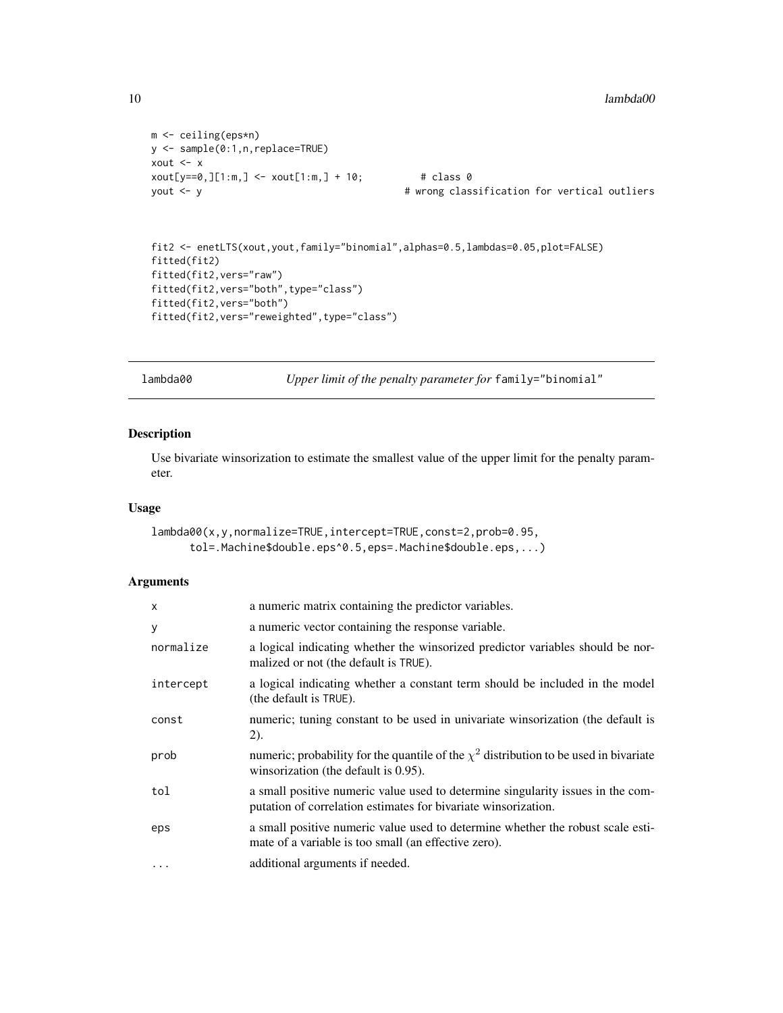```
m <- ceiling(eps*n)
y <- sample(0:1,n,replace=TRUE)
xout \leftarrow xxout[y == 0, ][1:m, ] <- xout[1:m, ] + 10; # class 0
```
yout <- y # wrong classification for vertical outliers

```
fit2 <- enetLTS(xout,yout,family="binomial",alphas=0.5,lambdas=0.05,plot=FALSE)
fitted(fit2)
fitted(fit2,vers="raw")
fitted(fit2,vers="both",type="class")
fitted(fit2,vers="both")
fitted(fit2,vers="reweighted",type="class")
```
lambda00 *Upper limit of the penalty parameter for* family="binomial"

#### Description

Use bivariate winsorization to estimate the smallest value of the upper limit for the penalty parameter.

## Usage

```
lambda00(x,y,normalize=TRUE,intercept=TRUE,const=2,prob=0.95,
     tol=.Machine$double.eps^0.5,eps=.Machine$double.eps,...)
```
## Arguments

| $\boldsymbol{\mathsf{x}}$ | a numeric matrix containing the predictor variables.                                                                                              |
|---------------------------|---------------------------------------------------------------------------------------------------------------------------------------------------|
| y                         | a numeric vector containing the response variable.                                                                                                |
| normalize                 | a logical indicating whether the winsorized predictor variables should be nor-<br>malized or not (the default is TRUE).                           |
| intercept                 | a logical indicating whether a constant term should be included in the model<br>(the default is TRUE).                                            |
| const                     | numeric; tuning constant to be used in univariate winsorization (the default is<br>(2).                                                           |
| prob                      | numeric; probability for the quantile of the $\chi^2$ distribution to be used in bivariate<br>winsorization (the default is 0.95).                |
| tol                       | a small positive numeric value used to determine singularity issues in the com-<br>putation of correlation estimates for bivariate winsorization. |
| eps                       | a small positive numeric value used to determine whether the robust scale esti-<br>mate of a variable is too small (an effective zero).           |
| $\cdots$                  | additional arguments if needed.                                                                                                                   |

<span id="page-9-0"></span>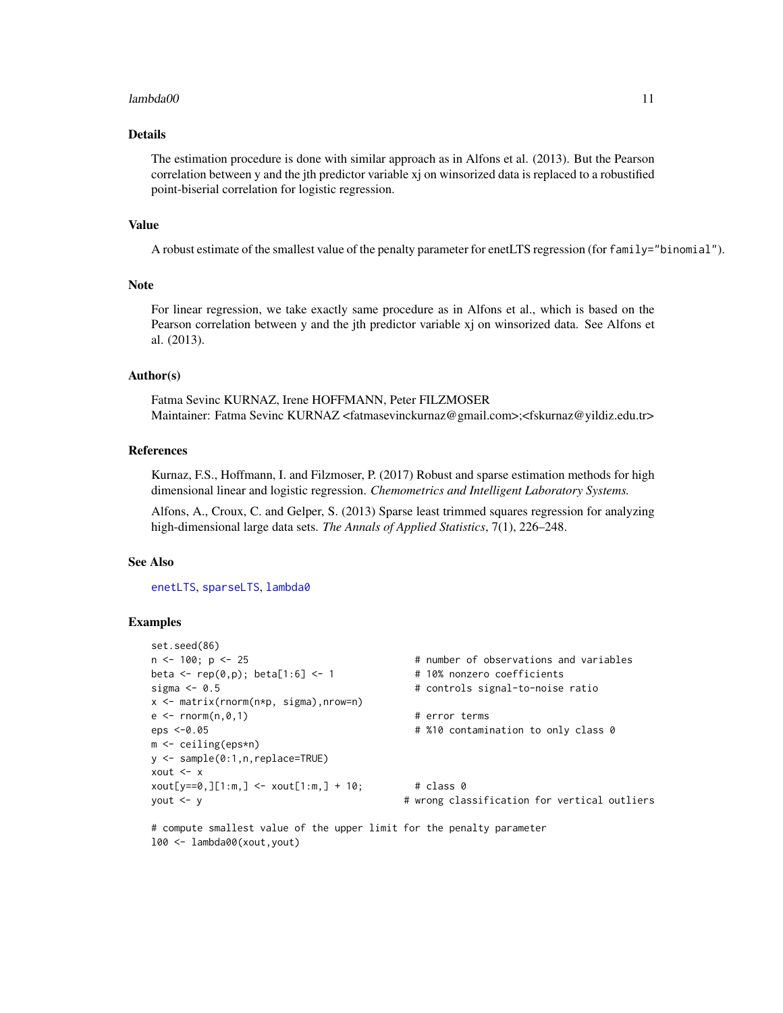#### <span id="page-10-0"></span> $lambda00$  11

## Details

The estimation procedure is done with similar approach as in Alfons et al. (2013). But the Pearson correlation between y and the jth predictor variable xj on winsorized data is replaced to a robustified point-biserial correlation for logistic regression.

## Value

A robust estimate of the smallest value of the penalty parameter for enetLTS regression (for family="binomial").

#### **Note**

For linear regression, we take exactly same procedure as in Alfons et al., which is based on the Pearson correlation between y and the jth predictor variable xj on winsorized data. See Alfons et al. (2013).

#### Author(s)

Fatma Sevinc KURNAZ, Irene HOFFMANN, Peter FILZMOSER Maintainer: Fatma Sevinc KURNAZ <fatmasevinckurnaz@gmail.com>;<fskurnaz@yildiz.edu.tr>

## References

Kurnaz, F.S., Hoffmann, I. and Filzmoser, P. (2017) Robust and sparse estimation methods for high dimensional linear and logistic regression. *Chemometrics and Intelligent Laboratory Systems.*

Alfons, A., Croux, C. and Gelper, S. (2013) Sparse least trimmed squares regression for analyzing high-dimensional large data sets. *The Annals of Applied Statistics*, 7(1), 226–248.

#### See Also

[enetLTS](#page-3-1), [sparseLTS](#page-0-0), [lambda0](#page-0-0)

#### Examples

```
set.seed(86)
n <- 100; p <- 25 \hbox{ } # number of observations and variables
beta \leftarrow \text{rep}(0,p); beta[1:6] \leftarrow 1 \quad # 10% nonzero coefficients
sigma <- 0.5 \qquad \qquad \qquad \qquad \qquad # controls signal-to-noise ratio
x <- matrix(rnorm(n*p, sigma),nrow=n)
e \leq -rnorm(n, \emptyset, 1) # error terms
eps <-0.05 # %10 contamination to only class 0
m <- ceiling(eps*n)
y <- sample(0:1,n,replace=TRUE)
xout <- x
xout[y == 0, ][1:m, ] < -xout[1:m, ] + 10; # class 0
yout <- y # wrong classification for vertical outliers
```
# compute smallest value of the upper limit for the penalty parameter l00 <- lambda00(xout,yout)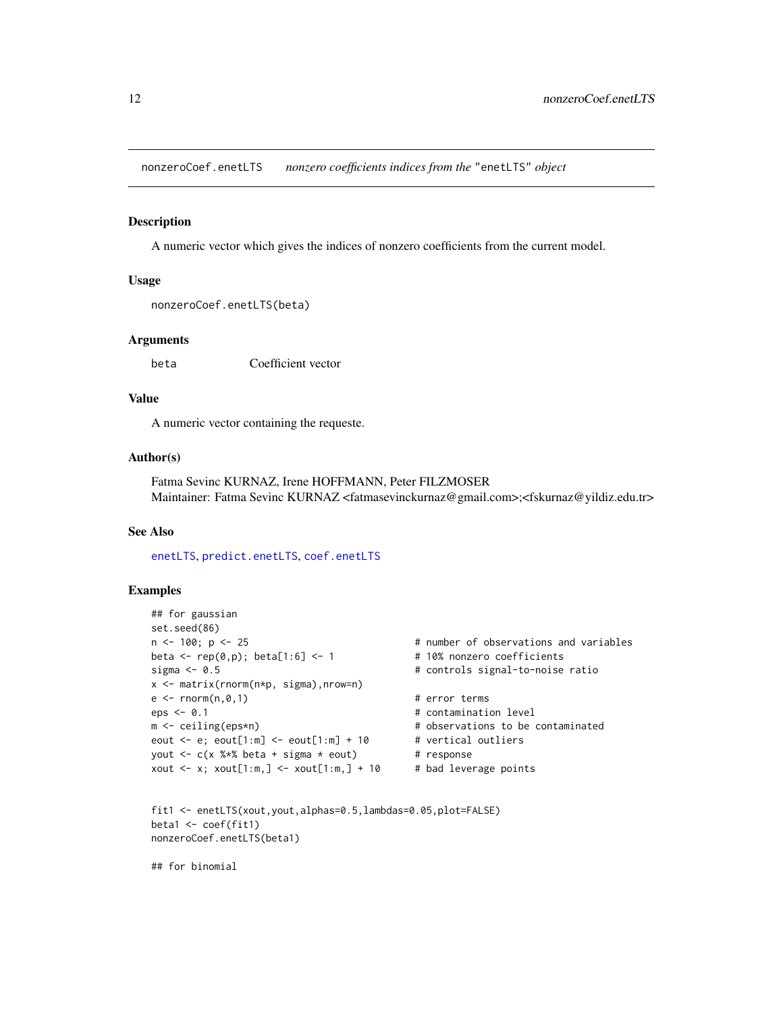<span id="page-11-1"></span><span id="page-11-0"></span>nonzeroCoef.enetLTS *nonzero coefficients indices from the* "enetLTS" *object*

#### Description

A numeric vector which gives the indices of nonzero coefficients from the current model.

## Usage

```
nonzeroCoef.enetLTS(beta)
```
#### **Arguments**

beta Coefficient vector

#### Value

A numeric vector containing the requeste.

## Author(s)

Fatma Sevinc KURNAZ, Irene HOFFMANN, Peter FILZMOSER Maintainer: Fatma Sevinc KURNAZ <fatmasevinckurnaz@gmail.com>;<fskurnaz@yildiz.edu.tr>

#### See Also

[enetLTS](#page-3-1), [predict.enetLTS](#page-18-1), [coef.enetLTS](#page-1-1)

#### Examples

```
## for gaussian
set.seed(86)
n <- 100; p <- 25 # number of observations and variables
beta \leq rep(0,p); beta[1:6] \leq 1 \neq 10% nonzero coefficients
sigma <- 0.5 # controls signal-to-noise ratio
x <- matrix(rnorm(n*p, sigma),nrow=n)
e \leq -r \cdot \text{norm}(n, \emptyset, 1) # error terms
eps <- 0.1 # contamination level
m <- ceiling(eps*n) + observations to be contaminated
eout \leq e; eout[1:m] \leq eout[1:m] + 10 # vertical outliers
yout \leq c(x %*% beta + sigma * eout) # response
xout \leq x; xout[1:m,] \leq xout[1:m,] + 10 # bad leverage points
```

```
fit1 <- enetLTS(xout,yout,alphas=0.5,lambdas=0.05,plot=FALSE)
beta1 <- coef(fit1)
nonzeroCoef.enetLTS(beta1)
```
## for binomial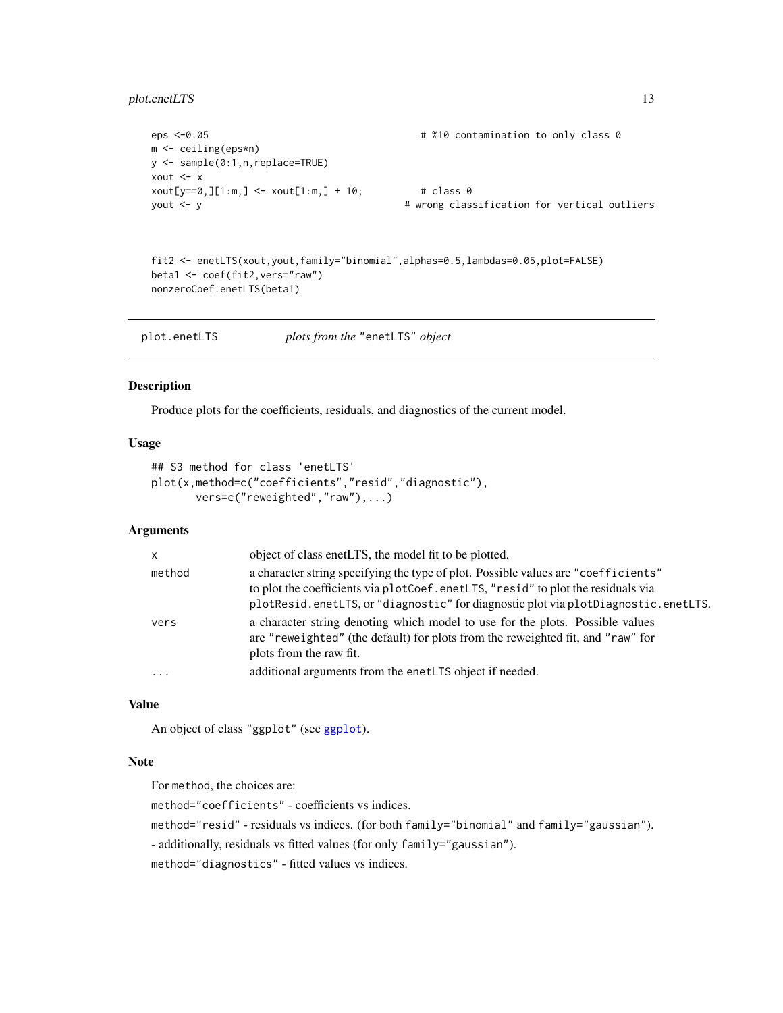## <span id="page-12-0"></span>plot.enetLTS 13

```
eps <-0.05 # %10 contamination to only class 0
m <- ceiling(eps*n)
y <- sample(0:1,n,replace=TRUE)
xout <- x
xout[y == 0, ][1:m, ] < -xout[1:m, ] + 10; # class 0
yout <- y # wrong classification for vertical outliers
```

```
fit2 <- enetLTS(xout,yout,family="binomial",alphas=0.5,lambdas=0.05,plot=FALSE)
beta1 <- coef(fit2,vers="raw")
nonzeroCoef.enetLTS(beta1)
```
## Description

Produce plots for the coefficients, residuals, and diagnostics of the current model.

## Usage

```
## S3 method for class 'enetLTS'
plot(x,method=c("coefficients","resid","diagnostic"),
       vers=c("reweighted","raw"),...)
```
#### Arguments

| $\mathsf{x}$ | object of class enetLTS, the model fit to be plotted.                                                                                                                                                                                                        |
|--------------|--------------------------------------------------------------------------------------------------------------------------------------------------------------------------------------------------------------------------------------------------------------|
| method       | a character string specifying the type of plot. Possible values are "coefficients"<br>to plot the coefficients via plotCoef.enetLTS, "resid" to plot the residuals via<br>plotResid.enetLTS, or "diagnostic" for diagnostic plot via plotDiagnostic.enetLTS. |
| vers         | a character string denoting which model to use for the plots. Possible values<br>are "reweighted" (the default) for plots from the reweighted fit, and "raw" for<br>plots from the raw fit.                                                                  |
| $\ddotsc$    | additional arguments from the enetLTS object if needed.                                                                                                                                                                                                      |

#### Value

An object of class "ggplot" (see [ggplot](#page-0-0)).

#### Note

For method, the choices are:

method="coefficients" - coefficients vs indices.

method="resid" - residuals vs indices. (for both family="binomial" and family="gaussian").

- additionally, residuals vs fitted values (for only family="gaussian").

method="diagnostics" - fitted values vs indices.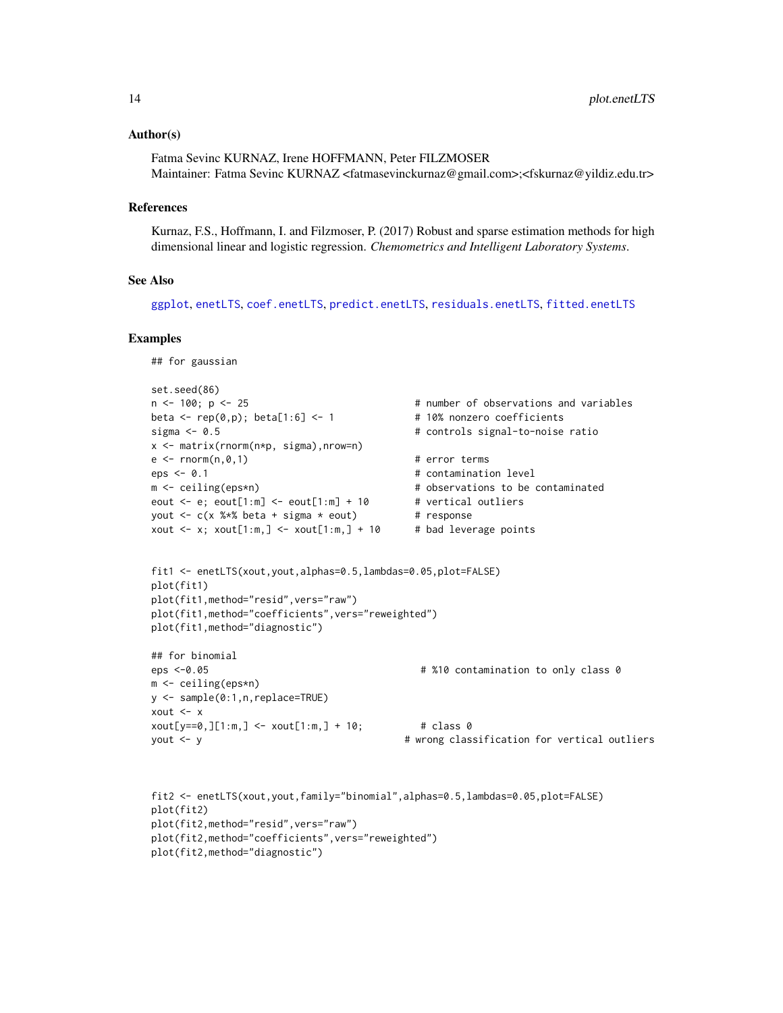#### <span id="page-13-0"></span>Author(s)

Fatma Sevinc KURNAZ, Irene HOFFMANN, Peter FILZMOSER Maintainer: Fatma Sevinc KURNAZ <fatmasevinckurnaz@gmail.com>;<fskurnaz@yildiz.edu.tr>

#### **References**

Kurnaz, F.S., Hoffmann, I. and Filzmoser, P. (2017) Robust and sparse estimation methods for high dimensional linear and logistic regression. *Chemometrics and Intelligent Laboratory Systems*.

## See Also

[ggplot](#page-0-0), [enetLTS](#page-3-1), [coef.enetLTS](#page-1-1), [predict.enetLTS](#page-18-1), [residuals.enetLTS](#page-22-1), [fitted.enetLTS](#page-7-1)

```
## for gaussian
set.seed(86)
n <- 100; p <- 25 \hbox{ } # number of observations and variables
beta \leq rep(0,p); beta[1:6] \leq 1 \neq 10% nonzero coefficients
sigma <- 0.5 # controls signal-to-noise ratio
x <- matrix(rnorm(n*p, sigma),nrow=n)
e \leq -r \cdot \text{norm}(n, \emptyset, 1) # error terms
eps <- 0.1 \qquad \qquad # contamination level
m <- ceiling(eps*n) + observations to be contaminated
eout \leq e; eout[1:m] \leq eout[1:m] + 10 # vertical outliers
yout \leq c(x %*% beta + sigma * eout) # response
xout \leq x; xout[1:m,] \leq xout[1:m,] + 10 # bad leverage points
fit1 <- enetLTS(xout,yout,alphas=0.5,lambdas=0.05,plot=FALSE)
plot(fit1)
plot(fit1,method="resid",vers="raw")
plot(fit1,method="coefficients",vers="reweighted")
plot(fit1,method="diagnostic")
## for binomial
eps <-0.05 # %10 contamination to only class 0
m <- ceiling(eps*n)
y <- sample(0:1,n,replace=TRUE)
xout <- x
xout[y==0, ][1:m, ] \le xout[1:m, ] + 10; # class 0
yout <- y # wrong classification for vertical outliers
```

```
fit2 <- enetLTS(xout,yout,family="binomial",alphas=0.5,lambdas=0.05,plot=FALSE)
plot(fit2)
plot(fit2,method="resid",vers="raw")
plot(fit2,method="coefficients",vers="reweighted")
plot(fit2,method="diagnostic")
```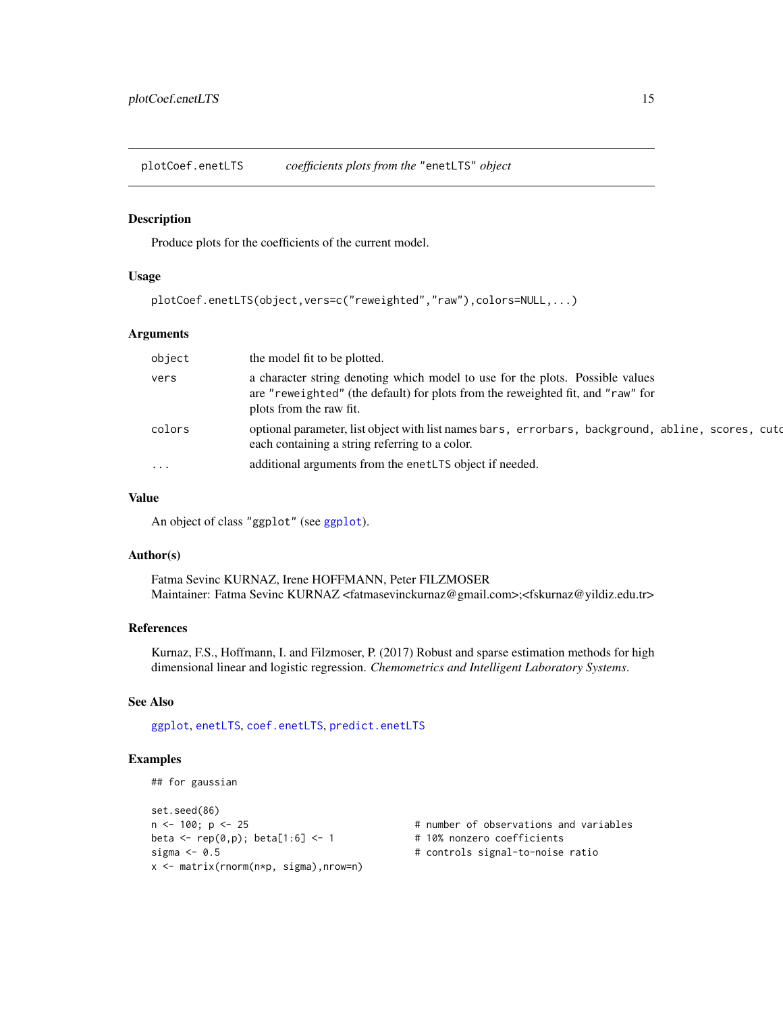<span id="page-14-1"></span><span id="page-14-0"></span>plotCoef.enetLTS *coefficients plots from the* "enetLTS" *object*

#### Description

Produce plots for the coefficients of the current model.

#### Usage

```
plotCoef.enetLTS(object,vers=c("reweighted","raw"),colors=NULL,...)
```
#### Arguments

| object   | the model fit to be plotted.                                                                                                                                                                |
|----------|---------------------------------------------------------------------------------------------------------------------------------------------------------------------------------------------|
| vers     | a character string denoting which model to use for the plots. Possible values<br>are "reweighted" (the default) for plots from the reweighted fit, and "raw" for<br>plots from the raw fit. |
| colors   | optional parameter, list object with list names bars, errorbars, background, abline, scores, cuto<br>each containing a string referring to a color.                                         |
| $\cdots$ | additional arguments from the enet LTS object if needed.                                                                                                                                    |
|          |                                                                                                                                                                                             |

#### Value

An object of class "ggplot" (see [ggplot](#page-0-0)).

#### Author(s)

Fatma Sevinc KURNAZ, Irene HOFFMANN, Peter FILZMOSER Maintainer: Fatma Sevinc KURNAZ <fatmasevinckurnaz@gmail.com>;<fskurnaz@yildiz.edu.tr>

#### References

Kurnaz, F.S., Hoffmann, I. and Filzmoser, P. (2017) Robust and sparse estimation methods for high dimensional linear and logistic regression. *Chemometrics and Intelligent Laboratory Systems*.

#### See Also

[ggplot](#page-0-0), [enetLTS](#page-3-1), [coef.enetLTS](#page-1-1), [predict.enetLTS](#page-18-1)

```
## for gaussian
```

```
set.seed(86)
n < -100; p < -25 # number of observations and variables
beta \leq rep(0,p); beta[1:6] \leq 1 \neq 10% nonzero coefficients
sigma <- 0.5 # controls signal-to-noise ratio
x <- matrix(rnorm(n*p, sigma),nrow=n)
```
- 
-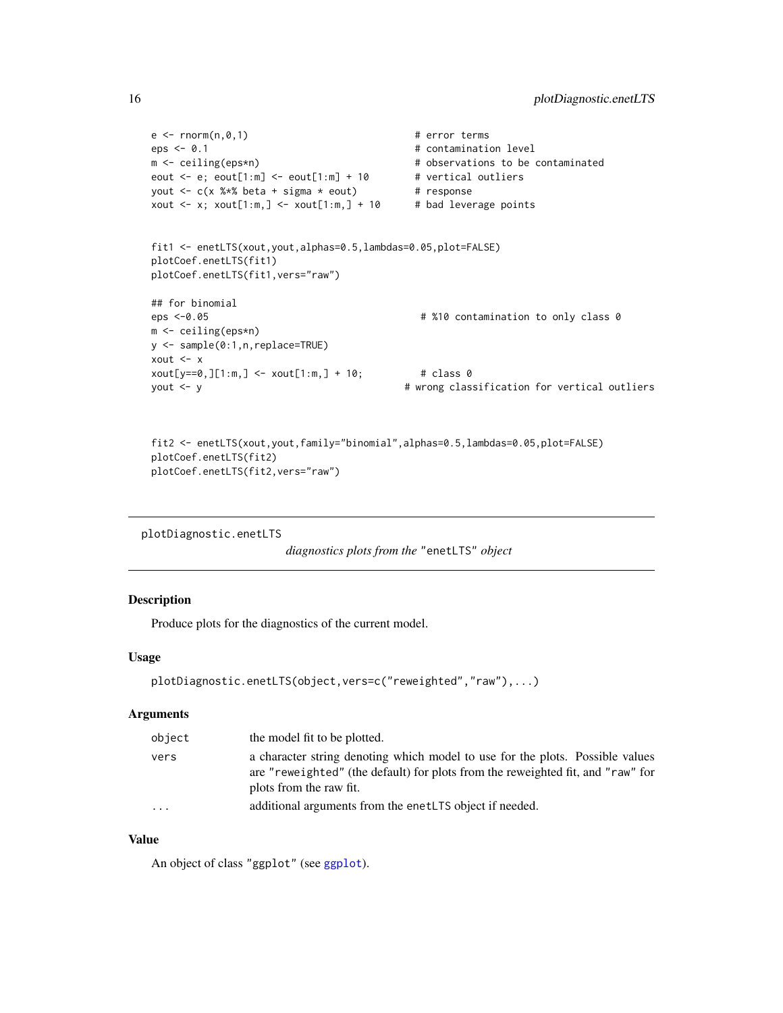```
e \leq -rnorm(n, \emptyset, 1) # error terms
eps < -0.1 # contamination level
m <- ceiling(eps*n) # observations to be contaminated
eout \leq e; eout[1:m] \leq eout[1:m] + 10 # vertical outliers
yout \leq c(x %*% beta + sigma * eout) # response
xout \leq x; xout[1:m,] \leq xout[1:m,] + 10 # bad leverage points
fit1 <- enetLTS(xout,yout,alphas=0.5,lambdas=0.05,plot=FALSE)
plotCoef.enetLTS(fit1)
plotCoef.enetLTS(fit1,vers="raw")
## for binomial
                                       # %10 contamination to only class 0
m <- ceiling(eps*n)
y <- sample(0:1,n,replace=TRUE)
xout <- x
xout[y==0,][1:m,] <- xout[1:m,] + 10; # class 0
yout <- y # wrong classification for vertical outliers
```

```
fit2 <- enetLTS(xout,yout,family="binomial",alphas=0.5,lambdas=0.05,plot=FALSE)
plotCoef.enetLTS(fit2)
plotCoef.enetLTS(fit2,vers="raw")
```

```
plotDiagnostic.enetLTS
```
*diagnostics plots from the* "enetLTS" *object*

## Description

Produce plots for the diagnostics of the current model.

## Usage

```
plotDiagnostic.enetLTS(object,vers=c("reweighted","raw"),...)
```
#### Arguments

| object   | the model fit to be plotted.                                                                                                                                                                |
|----------|---------------------------------------------------------------------------------------------------------------------------------------------------------------------------------------------|
| vers     | a character string denoting which model to use for the plots. Possible values<br>are "reweighted" (the default) for plots from the reweighted fit, and "raw" for<br>plots from the raw fit. |
| $\cdots$ | additional arguments from the enet LTS object if needed.                                                                                                                                    |

## Value

An object of class "ggplot" (see [ggplot](#page-0-0)).

<span id="page-15-0"></span>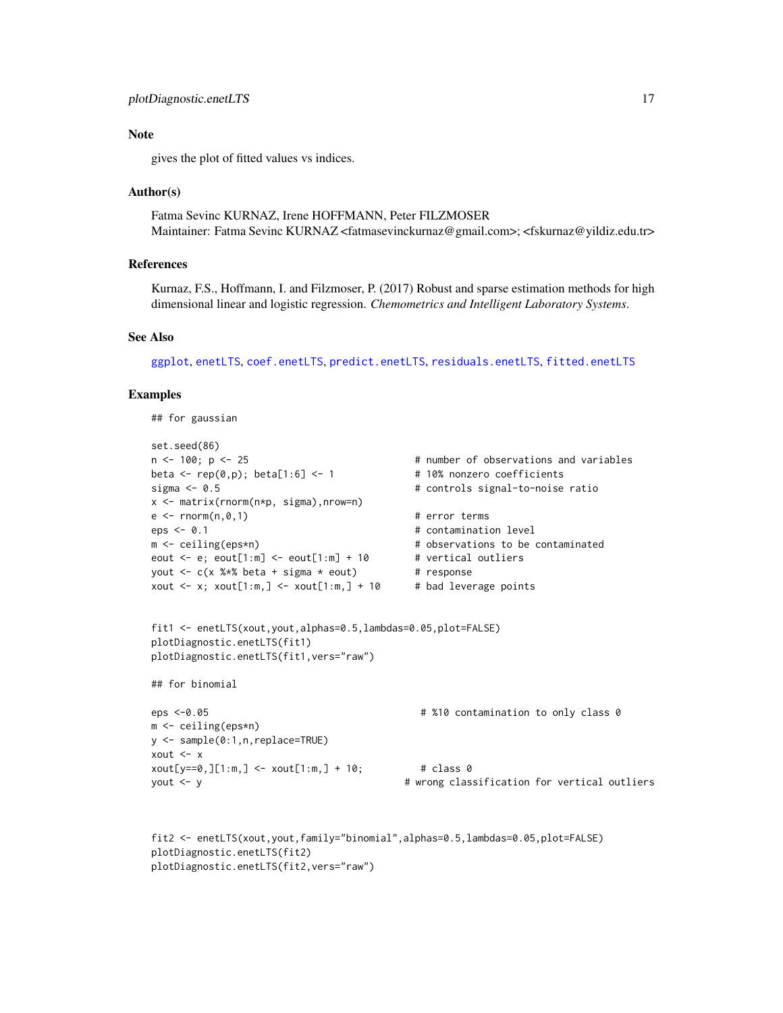#### <span id="page-16-0"></span>Note

gives the plot of fitted values vs indices.

#### Author(s)

Fatma Sevinc KURNAZ, Irene HOFFMANN, Peter FILZMOSER Maintainer: Fatma Sevinc KURNAZ <fatmasevinckurnaz@gmail.com>; <fskurnaz@yildiz.edu.tr>

#### References

Kurnaz, F.S., Hoffmann, I. and Filzmoser, P. (2017) Robust and sparse estimation methods for high dimensional linear and logistic regression. *Chemometrics and Intelligent Laboratory Systems*.

#### See Also

[ggplot](#page-0-0), [enetLTS](#page-3-1), [coef.enetLTS](#page-1-1), [predict.enetLTS](#page-18-1), [residuals.enetLTS](#page-22-1), [fitted.enetLTS](#page-7-1)

#### Examples

## for gaussian

```
set.seed(86)
n <- 100; p <- 25 \qquad # number of observations and variables
beta \leq rep(0,p); beta[1:6] \leq 1 \neq 10% nonzero coefficients
sigma <- 0.5 # controls signal-to-noise ratio
x <- matrix(rnorm(n*p, sigma),nrow=n)
e \leq -r \cdot \text{norm}(n, \emptyset, 1) # error terms
eps <- 0.1 \qquad \qquad # contamination level
m <- ceiling(eps*n) + observations to be contaminated
eout \leq e; eout[1:m] \leq eout[1:m] + 10 # vertical outliers
yout \leq c(x %*% beta + sigma * eout) # response
xout \leq x; xout[1:m,] \leq xout[1:m,] + 10 # bad leverage points
fit1 <- enetLTS(xout,yout,alphas=0.5,lambdas=0.05,plot=FALSE)
plotDiagnostic.enetLTS(fit1)
plotDiagnostic.enetLTS(fit1,vers="raw")
## for binomial
eps <-0.05 # %10 contamination to only class 0
m <- ceiling(eps*n)
y <- sample(0:1,n,replace=TRUE)
xout <- x
xout[y == 0, ][1:m, ] <- xout[1:m, ] + 10; # class 0
yout <- y # wrong classification for vertical outliers
```

```
fit2 <- enetLTS(xout,yout,family="binomial",alphas=0.5,lambdas=0.05,plot=FALSE)
plotDiagnostic.enetLTS(fit2)
plotDiagnostic.enetLTS(fit2,vers="raw")
```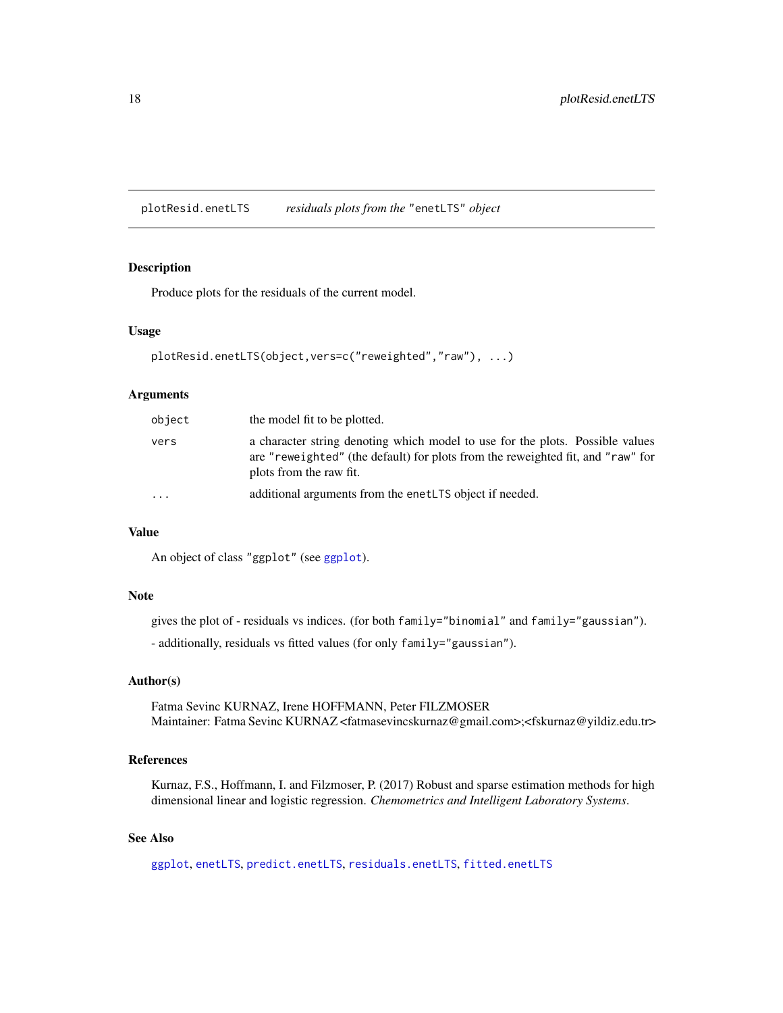<span id="page-17-1"></span><span id="page-17-0"></span>plotResid.enetLTS *residuals plots from the* "enetLTS" *object*

## Description

Produce plots for the residuals of the current model.

#### Usage

```
plotResid.enetLTS(object,vers=c("reweighted","raw"), ...)
```
## Arguments

| object    | the model fit to be plotted.                                                                                                                                                                |
|-----------|---------------------------------------------------------------------------------------------------------------------------------------------------------------------------------------------|
| vers      | a character string denoting which model to use for the plots. Possible values<br>are "reweighted" (the default) for plots from the reweighted fit, and "raw" for<br>plots from the raw fit. |
| $\ddotsc$ | additional arguments from the enet LTS object if needed.                                                                                                                                    |

## Value

An object of class "ggplot" (see [ggplot](#page-0-0)).

#### Note

gives the plot of - residuals vs indices. (for both family="binomial" and family="gaussian").

- additionally, residuals vs fitted values (for only family="gaussian").

#### Author(s)

Fatma Sevinc KURNAZ, Irene HOFFMANN, Peter FILZMOSER Maintainer: Fatma Sevinc KURNAZ <fatmasevincskurnaz@gmail.com>;<fskurnaz@yildiz.edu.tr>

## References

Kurnaz, F.S., Hoffmann, I. and Filzmoser, P. (2017) Robust and sparse estimation methods for high dimensional linear and logistic regression. *Chemometrics and Intelligent Laboratory Systems*.

## See Also

[ggplot](#page-0-0), [enetLTS](#page-3-1), [predict.enetLTS](#page-18-1), [residuals.enetLTS](#page-22-1), [fitted.enetLTS](#page-7-1)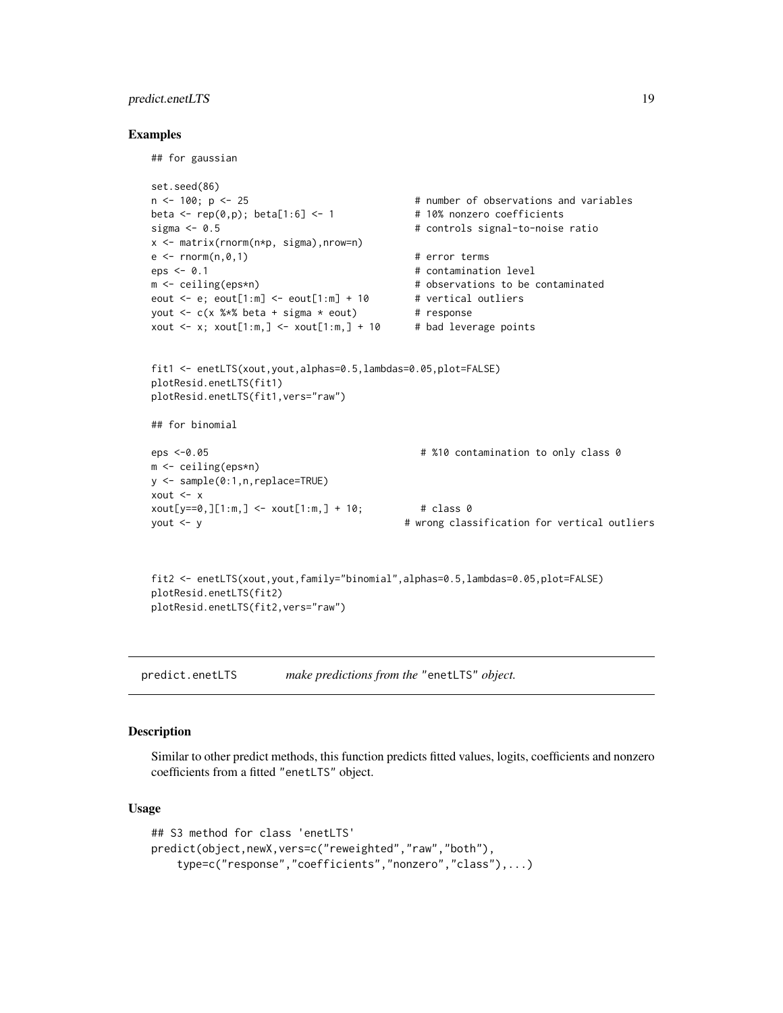## <span id="page-18-0"></span>predict.enetLTS 19

#### Examples

## for gaussian

```
set.seed(86)
n <- 100; p <- 25 \hbox{ } # number of observations and variables
beta \leq rep(0,p); beta[1:6] \leq 1 \neq 10% nonzero coefficients
sigma <- 0.5 \qquad \qquad \qquad # controls signal-to-noise ratio
x <- matrix(rnorm(n*p, sigma),nrow=n)
e \leq -r \cdot \text{norm}(n, \emptyset, 1) # error terms
eps <- 0.1 \qquad \qquad \qquad # contamination level
m <- ceiling(eps*n) \blacksquare + observations to be contaminated
eout \leq e; eout[1:m] \leq eout[1:m] + 10 # vertical outliers
yout \leq c(x %*% beta + sigma * eout) # response
xout \leq x; xout[1:m,] \leq xout[1:m,] + 10 # bad leverage points
fit1 <- enetLTS(xout,yout,alphas=0.5,lambdas=0.05,plot=FALSE)
plotResid.enetLTS(fit1)
plotResid.enetLTS(fit1,vers="raw")
## for binomial
eps <-0.05 # %10 contamination to only class 0
m <- ceiling(eps*n)
y <- sample(0:1,n,replace=TRUE)
xout \leftarrow x
xout[y == 0, ][1:m, ] <- xout[1:m, ] + 10; # class 0
yout <- y # wrong classification for vertical outliers
fit2 <- enetLTS(xout,yout,family="binomial",alphas=0.5,lambdas=0.05,plot=FALSE)
plotResid.enetLTS(fit2)
```

```
plotResid.enetLTS(fit2,vers="raw")
```
<span id="page-18-1"></span>predict.enetLTS *make predictions from the* "enetLTS" *object.*

#### Description

Similar to other predict methods, this function predicts fitted values, logits, coefficients and nonzero coefficients from a fitted "enetLTS" object.

## Usage

```
## S3 method for class 'enetLTS'
predict(object,newX,vers=c("reweighted","raw","both"),
    type=c("response","coefficients","nonzero","class"),...)
```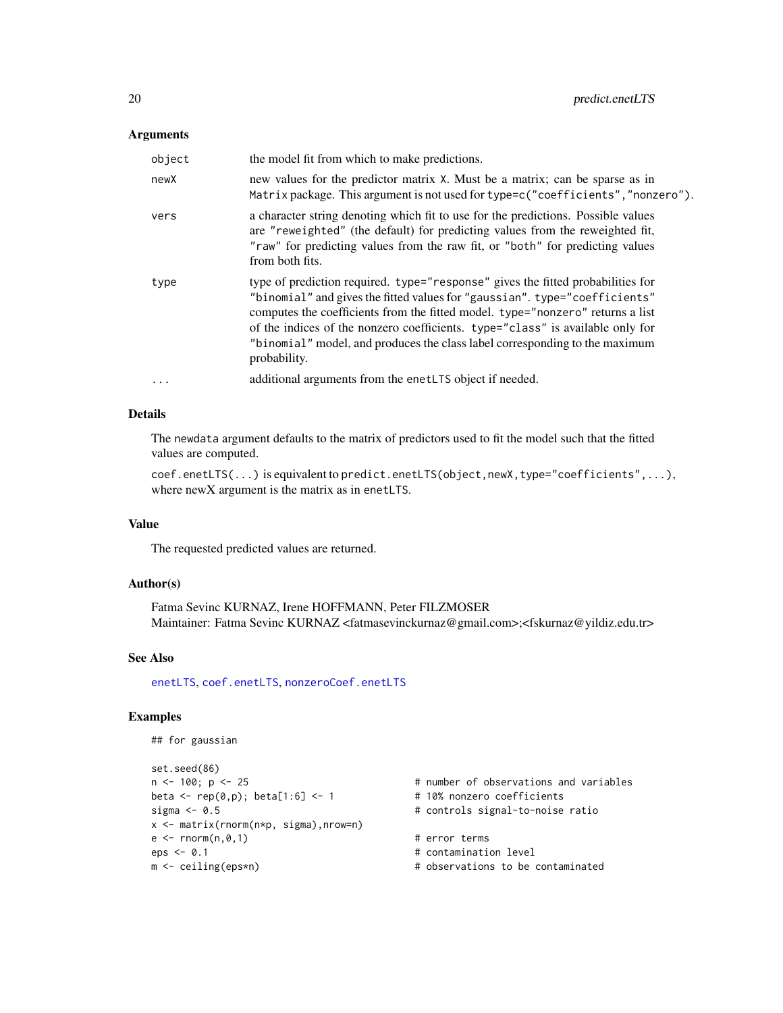#### <span id="page-19-0"></span>**Arguments**

| object   | the model fit from which to make predictions.                                                                                                                                                                                                                                                                                                                                                                                    |
|----------|----------------------------------------------------------------------------------------------------------------------------------------------------------------------------------------------------------------------------------------------------------------------------------------------------------------------------------------------------------------------------------------------------------------------------------|
| newX     | new values for the predictor matrix X. Must be a matrix; can be sparse as in<br>Matrix package. This argument is not used for type=c("coefficients", "nonzero").                                                                                                                                                                                                                                                                 |
| vers     | a character string denoting which fit to use for the predictions. Possible values<br>are "reweighted" (the default) for predicting values from the reweighted fit,<br>"raw" for predicting values from the raw fit, or "both" for predicting values<br>from both fits.                                                                                                                                                           |
| type     | type of prediction required. type="response" gives the fitted probabilities for<br>"binomial" and gives the fitted values for "gaussian". type="coefficients"<br>computes the coefficients from the fitted model. type="nonzero" returns a list<br>of the indices of the nonzero coefficients. type="class" is available only for<br>"binomial" model, and produces the class label corresponding to the maximum<br>probability. |
| $\ddots$ | additional arguments from the enetLTS object if needed.                                                                                                                                                                                                                                                                                                                                                                          |

## Details

The newdata argument defaults to the matrix of predictors used to fit the model such that the fitted values are computed.

coef.enetLTS(...) is equivalent to predict.enetLTS(object,newX,type="coefficients",...), where newX argument is the matrix as in enetLTS.

## Value

The requested predicted values are returned.

#### Author(s)

Fatma Sevinc KURNAZ, Irene HOFFMANN, Peter FILZMOSER Maintainer: Fatma Sevinc KURNAZ <fatmasevinckurnaz@gmail.com>;<fskurnaz@yildiz.edu.tr>

## See Also

[enetLTS](#page-3-1), [coef.enetLTS](#page-1-1), [nonzeroCoef.enetLTS](#page-11-1)

```
## for gaussian
set.seed(86)<br>n <- 100; p <- 25
                                     # number of observations and variables
beta \leq rep(0,p); beta[1:6] \leq 1 \neq 10% nonzero coefficients
sigma <- 0.5 \qquad # controls signal-to-noise ratio
x <- matrix(rnorm(n*p, sigma),nrow=n)
e \leq -rnorm(n, \emptyset, 1) # error terms
eps <- 0.1 # contamination level
m <- ceiling(eps*n) + observations to be contaminated
```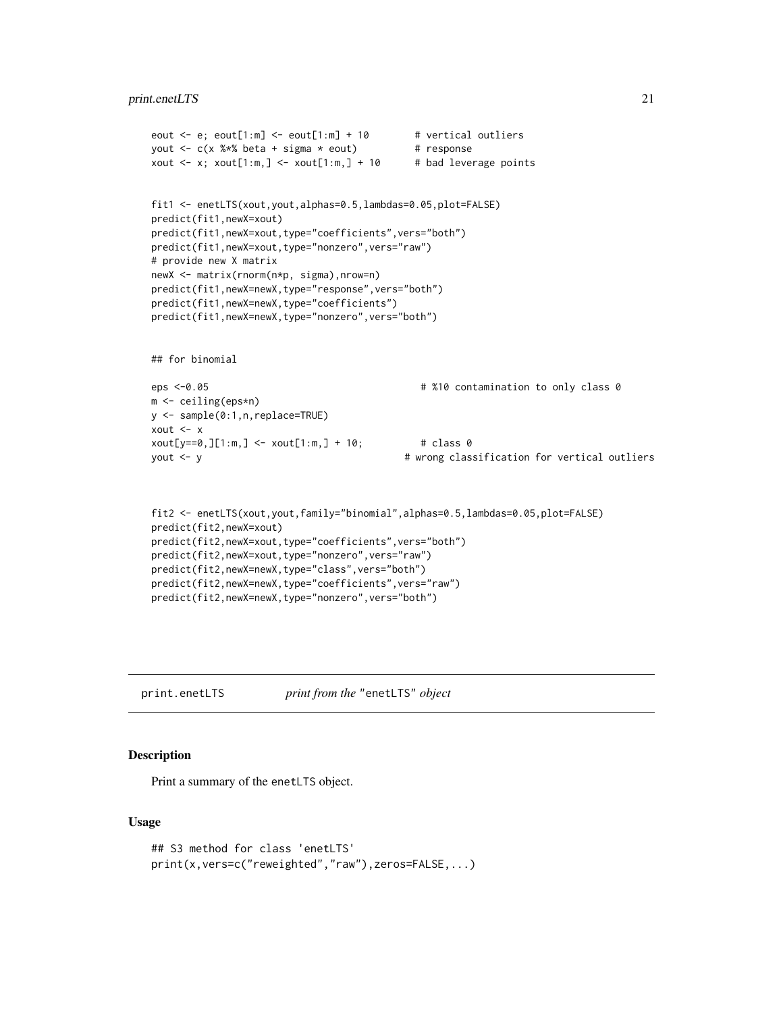```
eout \leq e; eout[1:m] \leq eout[1:m] + 10 # vertical outliers
yout <-c(x \times x) beta + sigma * eout) # response
xout \leq x; xout[1:m,] \leq xout[1:m,] + 10 # bad leverage points
fit1 <- enetLTS(xout,yout,alphas=0.5,lambdas=0.05,plot=FALSE)
predict(fit1,newX=xout)
predict(fit1,newX=xout,type="coefficients",vers="both")
predict(fit1,newX=xout,type="nonzero",vers="raw")
# provide new X matrix
newX <- matrix(rnorm(n*p, sigma),nrow=n)
predict(fit1,newX=newX,type="response",vers="both")
predict(fit1,newX=newX,type="coefficients")
predict(fit1,newX=newX,type="nonzero",vers="both")
## for binomial
eps <-0.05 # %10 contamination to only class 0
m <- ceiling(eps*n)
y <- sample(0:1,n,replace=TRUE)
xout <- x
xout[y==0,][1:m,] <- xout[1:m,] + 10; # class 0
yout <- y # wrong classification for vertical outliers
fit2 <- enetLTS(xout,yout,family="binomial",alphas=0.5,lambdas=0.05,plot=FALSE)
predict(fit2,newX=xout)
predict(fit2,newX=xout,type="coefficients",vers="both")
predict(fit2,newX=xout,type="nonzero",vers="raw")
predict(fit2,newX=newX,type="class",vers="both")
```

```
predict(fit2,newX=newX,type="coefficients",vers="raw")
predict(fit2,newX=newX,type="nonzero",vers="both")
```
print.enetLTS *print from the* "enetLTS" *object*

#### **Description**

Print a summary of the enetLTS object.

#### Usage

```
## S3 method for class 'enetLTS'
print(x,vers=c("reweighted","raw"),zeros=FALSE,...)
```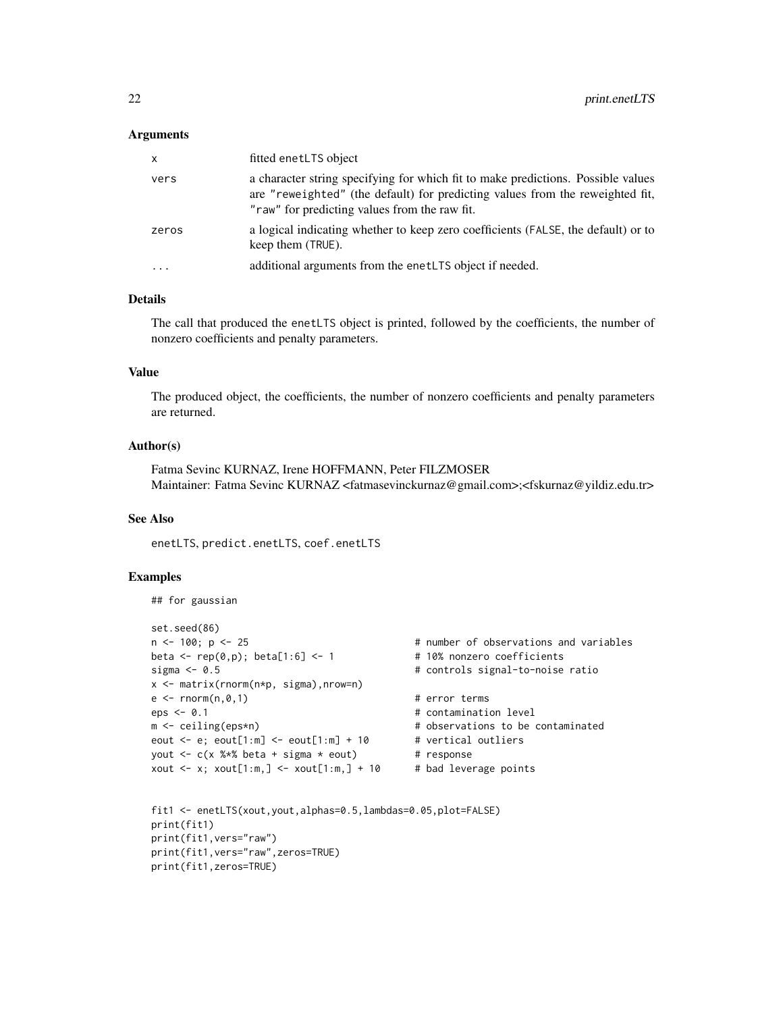#### **Arguments**

| X         | fitted enetLTS object                                                                                                                                                                                              |
|-----------|--------------------------------------------------------------------------------------------------------------------------------------------------------------------------------------------------------------------|
| vers      | a character string specifying for which fit to make predictions. Possible values<br>are "reweighted" (the default) for predicting values from the reweighted fit,<br>"raw" for predicting values from the raw fit. |
| zeros     | a logical indicating whether to keep zero coefficients (FALSE, the default) or to<br>keep them (TRUE).                                                                                                             |
| $\ddotsc$ | additional arguments from the enet LTS object if needed.                                                                                                                                                           |

#### Details

The call that produced the enetLTS object is printed, followed by the coefficients, the number of nonzero coefficients and penalty parameters.

## Value

The produced object, the coefficients, the number of nonzero coefficients and penalty parameters are returned.

#### Author(s)

Fatma Sevinc KURNAZ, Irene HOFFMANN, Peter FILZMOSER Maintainer: Fatma Sevinc KURNAZ <fatmasevinckurnaz@gmail.com>;<fskurnaz@yildiz.edu.tr>

#### See Also

enetLTS, predict.enetLTS, coef.enetLTS

```
## for gaussian
```

```
set.seed(86)
n <- 100; p <- 25 # number of observations and variables
beta \leq rep(0,p); beta[1:6] \leq 1 \neq 10% nonzero coefficients
sigma <- 0.5 # controls signal-to-noise ratio
x <- matrix(rnorm(n*p, sigma),nrow=n)
e \leq -r \cdot \text{norm}(n, \emptyset, 1) # error terms
eps <- 0.1 # contamination level
m <- ceiling(eps*n) + observations to be contaminated
eout \leq e; eout[1:m] \leq eout[1:m] + 10 # vertical outliers
yout \leq c(x %*% beta + sigma * eout) # response
xout \leq x; xout[1:m,] \leq xout[1:m,] + 10 # bad leverage points
```

```
fit1 <- enetLTS(xout,yout,alphas=0.5,lambdas=0.05,plot=FALSE)
print(fit1)
print(fit1,vers="raw")
print(fit1,vers="raw",zeros=TRUE)
print(fit1,zeros=TRUE)
```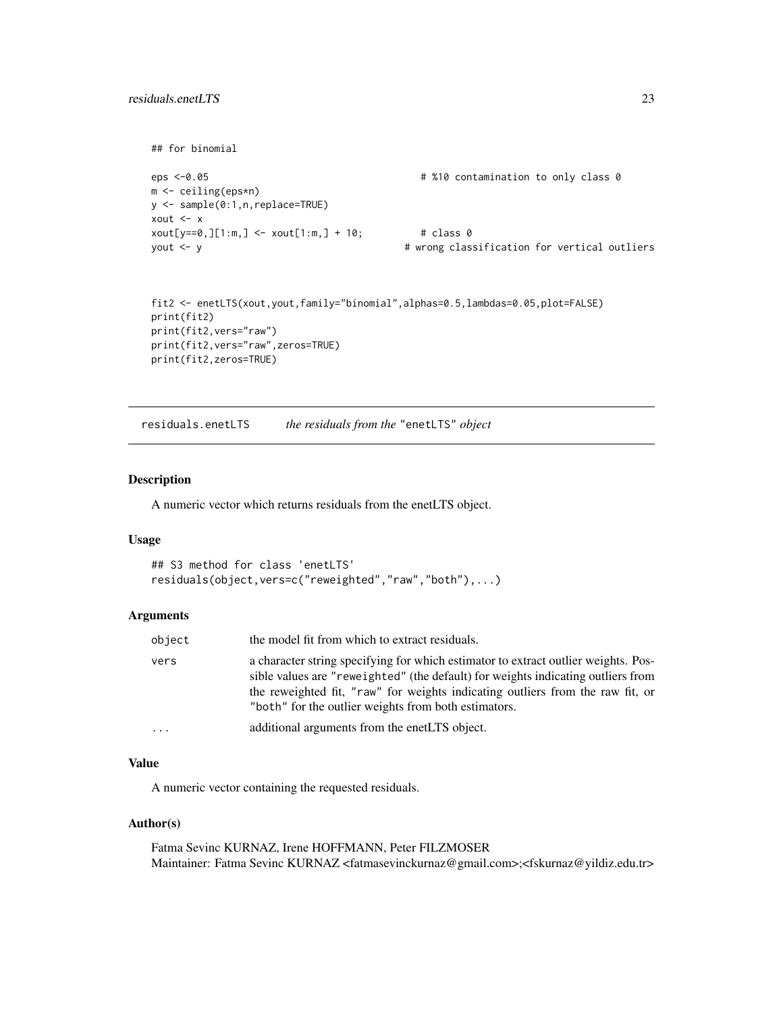```
## for binomial
eps <-0.05 # %10 contamination to only class 0
m <- ceiling(eps*n)
y <- sample(0:1,n,replace=TRUE)
xout <- x
xout[y==0,][1:m,] <- xout[1:m,] + 10; # class 0
yout <- y # wrong classification for vertical outliers
fit2 <- enetLTS(xout,yout,family="binomial",alphas=0.5,lambdas=0.05,plot=FALSE)
```

```
print(fit2)
print(fit2,vers="raw")
print(fit2,vers="raw",zeros=TRUE)
print(fit2,zeros=TRUE)
```
<span id="page-22-1"></span>residuals.enetLTS *the residuals from the* "enetLTS" *object*

#### Description

A numeric vector which returns residuals from the enetLTS object.

#### Usage

```
## S3 method for class 'enetLTS'
residuals(object,vers=c("reweighted","raw","both"),...)
```
#### Arguments

| object | the model fit from which to extract residuals.                                                                                                                                                                                                                                                                   |
|--------|------------------------------------------------------------------------------------------------------------------------------------------------------------------------------------------------------------------------------------------------------------------------------------------------------------------|
| vers   | a character string specifying for which estimator to extract outlier weights. Pos-<br>sible values are "reweighted" (the default) for weights indicating outliers from<br>the reweighted fit, "raw" for weights indicating outliers from the raw fit, or<br>"both" for the outlier weights from both estimators. |
| .      | additional arguments from the enetLTS object.                                                                                                                                                                                                                                                                    |

#### Value

A numeric vector containing the requested residuals.

#### Author(s)

Fatma Sevinc KURNAZ, Irene HOFFMANN, Peter FILZMOSER Maintainer: Fatma Sevinc KURNAZ <fatmasevinckurnaz@gmail.com>;<fskurnaz@yildiz.edu.tr>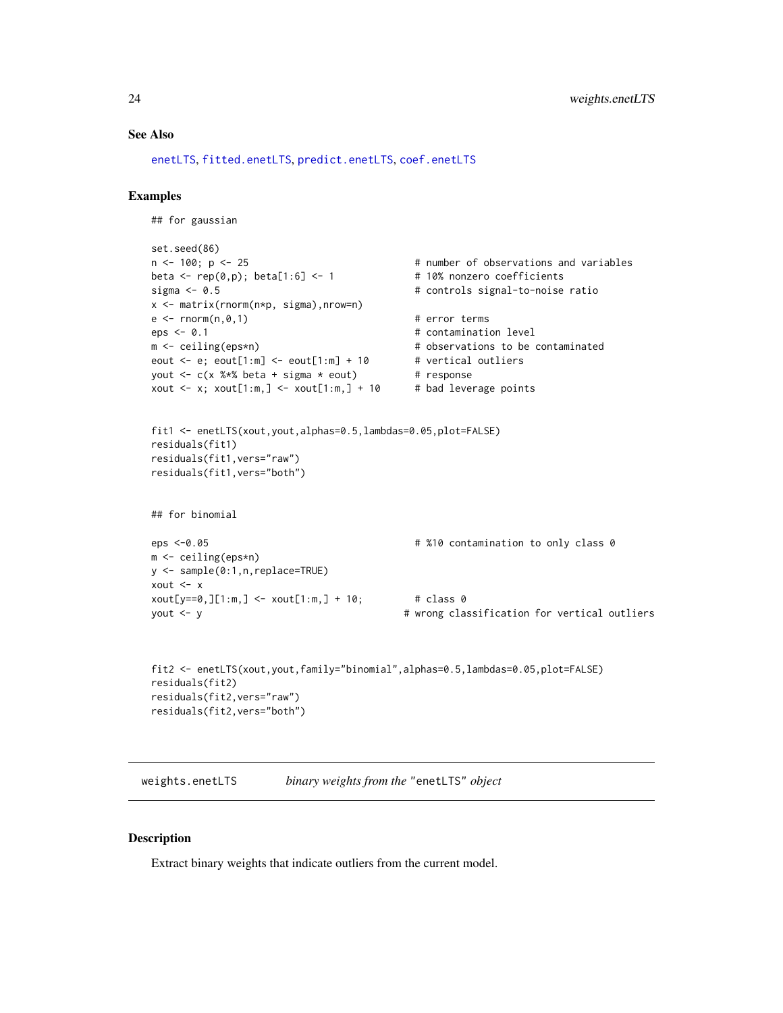#### <span id="page-23-0"></span>See Also

[enetLTS](#page-3-1), [fitted.enetLTS](#page-7-1), [predict.enetLTS](#page-18-1), [coef.enetLTS](#page-1-1)

## Examples

```
## for gaussian
set.seed(86)
n <- 100; p <- 25 \hbox{ } # number of observations and variables
beta \leq rep(0,p); beta[1:6] \leq 1 \neq 10% nonzero coefficients
sigma <- 0.5 # controls signal-to-noise ratio
x <- matrix(rnorm(n*p, sigma),nrow=n)
e \leq -r \cdot n \cdot (n, \emptyset, 1) # error terms
eps <- 0.1 # contamination level
m <- ceiling(eps*n) + observations to be contaminated
eout \leq e; eout[1:m] \leq eout[1:m] + 10 # vertical outliers
yout \leq c(x %*% beta + sigma * eout) # response
xout \leq x; xout[1:m,] \leq xout[1:m,] + 10 # bad leverage points
fit1 <- enetLTS(xout,yout,alphas=0.5,lambdas=0.05,plot=FALSE)
residuals(fit1)
residuals(fit1,vers="raw")
residuals(fit1,vers="both")
## for binomial
eps <-0.05 # %10 contamination to only class 0
m <- ceiling(eps*n)
y <- sample(0:1,n,replace=TRUE)
xout <- x
xout[y == 0, ][1:m, ] < xout[1:m, ] + 10; # class 0
yout <- y # wrong classification for vertical outliers
```

```
fit2 <- enetLTS(xout,yout,family="binomial",alphas=0.5,lambdas=0.05,plot=FALSE)
residuals(fit2)
residuals(fit2,vers="raw")
residuals(fit2,vers="both")
```
weights.enetLTS *binary weights from the* "enetLTS" *object*

## Description

Extract binary weights that indicate outliers from the current model.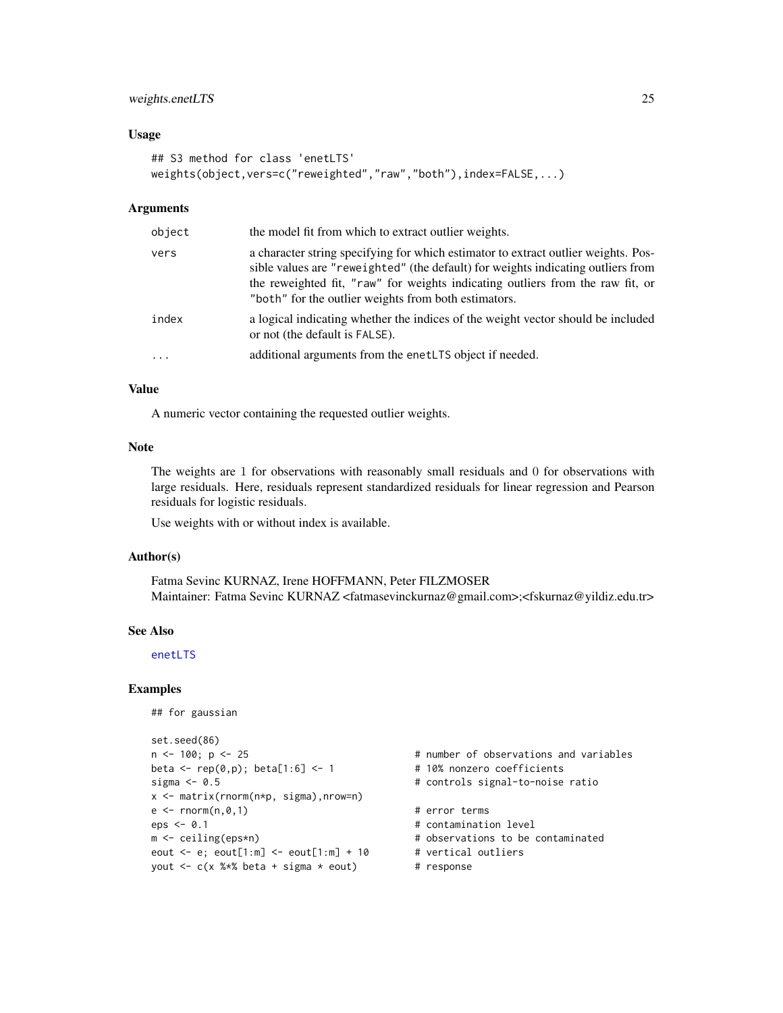## <span id="page-24-0"></span>weights.enetLTS 25

#### Usage

```
## S3 method for class 'enetLTS'
weights(object,vers=c("reweighted","raw","both"),index=FALSE,...)
```
#### Arguments

| object   | the model fit from which to extract outlier weights.                                                                                                                                                                                                                                                             |
|----------|------------------------------------------------------------------------------------------------------------------------------------------------------------------------------------------------------------------------------------------------------------------------------------------------------------------|
| vers     | a character string specifying for which estimator to extract outlier weights. Pos-<br>sible values are "reweighted" (the default) for weights indicating outliers from<br>the reweighted fit, "raw" for weights indicating outliers from the raw fit, or<br>"both" for the outlier weights from both estimators. |
| index    | a logical indicating whether the indices of the weight vector should be included<br>or not (the default is FALSE).                                                                                                                                                                                               |
| $\ddots$ | additional arguments from the enet LTS object if needed.                                                                                                                                                                                                                                                         |

## Value

A numeric vector containing the requested outlier weights.

#### Note

The weights are 1 for observations with reasonably small residuals and 0 for observations with large residuals. Here, residuals represent standardized residuals for linear regression and Pearson residuals for logistic residuals.

Use weights with or without index is available.

#### Author(s)

Fatma Sevinc KURNAZ, Irene HOFFMANN, Peter FILZMOSER Maintainer: Fatma Sevinc KURNAZ <fatmasevinckurnaz@gmail.com>;<fskurnaz@yildiz.edu.tr>

#### See Also

[enetLTS](#page-3-1)

```
## for gaussian
```

```
set.seed(86)
n <- 100; p <- 25 \hbox{ } # number of observations and variables
beta \leq rep(0,p); beta[1:6] \leq 1 \neq 10% nonzero coefficients
sigma <- 0.5 # controls signal-to-noise ratio
x <- matrix(rnorm(n*p, sigma),nrow=n)
e \leq -rnorm(n, \emptyset, 1) # error terms
eps < -0.1 # contamination level
m <- ceiling(eps*n) # observations to be contaminated
eout \leq e; eout[1:m] \leq eout[1:m] + 10 # vertical outliers
yout \leq c(x %*% beta + sigma * eout) # response
```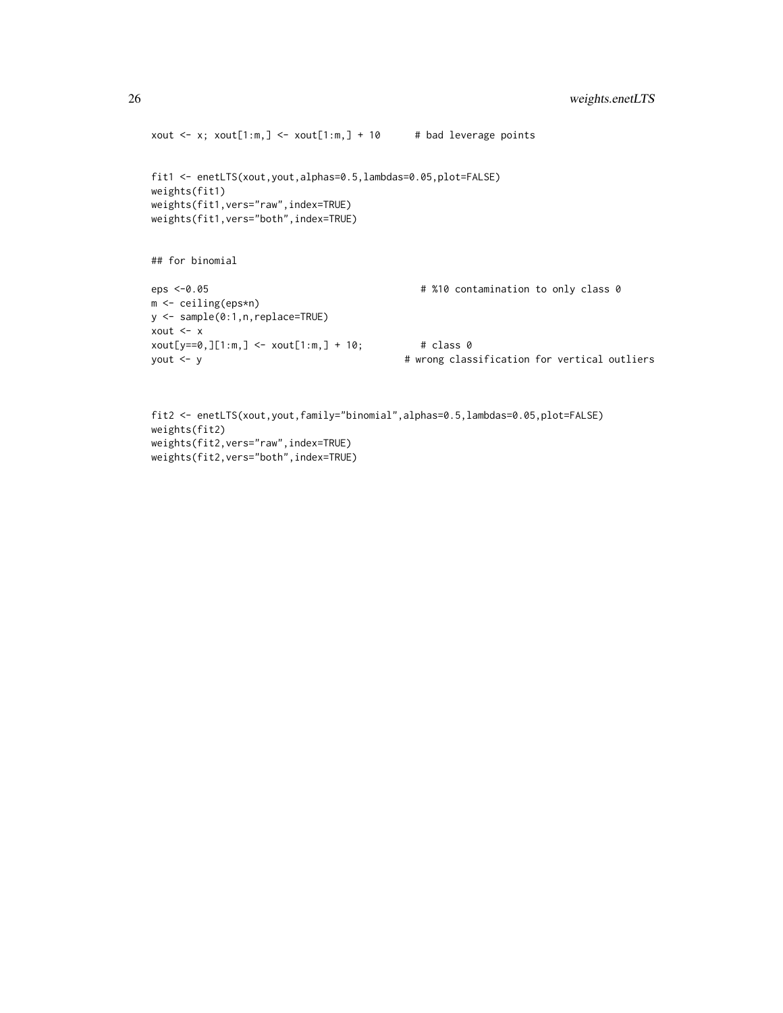```
xout \leq x; xout[1:m,] \leq xout[1:m,] + 10 # bad leverage points
fit1 <- enetLTS(xout,yout,alphas=0.5,lambdas=0.05,plot=FALSE)
weights(fit1)
weights(fit1,vers="raw",index=TRUE)
weights(fit1,vers="both",index=TRUE)
## for binomial
eps <-0.05 # %10 contamination to only class 0
m <- ceiling(eps*n)
y <- sample(0:1,n,replace=TRUE)
xout <- x
xout[y==0,][1:m,] <- xout[1:m,] + 10; # class 0
yout <- y # wrong classification for vertical outliers
```

```
fit2 <- enetLTS(xout,yout,family="binomial",alphas=0.5,lambdas=0.05,plot=FALSE)
weights(fit2)
weights(fit2,vers="raw",index=TRUE)
weights(fit2,vers="both",index=TRUE)
```